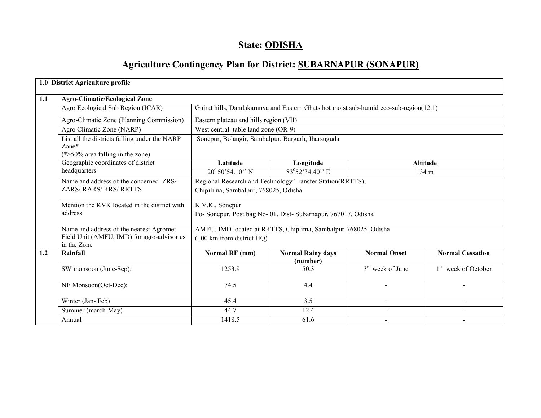# State: ODISHA

# Agriculture Contingency Plan for District: SUBARNAPUR (SONAPUR)

|     | 1.0 District Agriculture profile                                                                |                                                                                                   |                                                                                       |                          |                                 |  |  |  |
|-----|-------------------------------------------------------------------------------------------------|---------------------------------------------------------------------------------------------------|---------------------------------------------------------------------------------------|--------------------------|---------------------------------|--|--|--|
| 1.1 | <b>Agro-Climatic/Ecological Zone</b>                                                            |                                                                                                   |                                                                                       |                          |                                 |  |  |  |
|     | Agro Ecological Sub Region (ICAR)                                                               |                                                                                                   | Gujrat hills, Dandakaranya and Eastern Ghats hot moist sub-humid eco-sub-region(12.1) |                          |                                 |  |  |  |
|     | Agro-Climatic Zone (Planning Commission)                                                        |                                                                                                   | Eastern plateau and hills region (VII)                                                |                          |                                 |  |  |  |
|     | Agro Climatic Zone (NARP)                                                                       |                                                                                                   | West central table land zone (OR-9)                                                   |                          |                                 |  |  |  |
|     | List all the districts falling under the NARP<br>$Zone*$<br>$(*>50\%$ area falling in the zone) | Sonepur, Bolangir, Sambalpur, Bargarh, Jharsuguda                                                 |                                                                                       |                          |                                 |  |  |  |
|     | Geographic coordinates of district                                                              | Longitude<br>Latitude<br><b>Altitude</b>                                                          |                                                                                       |                          |                                 |  |  |  |
|     | headquarters                                                                                    | $20^0$ 50'54.10" N                                                                                | $83^{0}52'34.40''$ E                                                                  |                          | 134 m                           |  |  |  |
|     | Name and address of the concerned ZRS/<br><b>ZARS/ RARS/ RRS/ RRTTS</b>                         | Regional Research and Technology Transfer Station(RRTTS),<br>Chipilima, Sambalpur, 768025, Odisha |                                                                                       |                          |                                 |  |  |  |
|     | Mention the KVK located in the district with<br>address                                         | K.V.K., Sonepur                                                                                   | Po- Sonepur, Post bag No-01, Dist-Subarnapur, 767017, Odisha                          |                          |                                 |  |  |  |
|     | Name and address of the nearest Agromet                                                         |                                                                                                   | AMFU, IMD located at RRTTS, Chiplima, Sambalpur-768025. Odisha                        |                          |                                 |  |  |  |
|     | Field Unit (AMFU, IMD) for agro-advisories<br>in the Zone                                       | (100 km from district HQ)                                                                         |                                                                                       |                          |                                 |  |  |  |
| 1.2 | Rainfall                                                                                        | Normal RF (mm)                                                                                    | <b>Normal Rainy days</b><br>(number)                                                  | <b>Normal Onset</b>      | <b>Normal Cessation</b>         |  |  |  |
|     | SW monsoon (June-Sep):                                                                          | 1253.9                                                                                            | 50.3                                                                                  | $3rd$ week of June       | 1 <sup>st</sup> week of October |  |  |  |
|     | NE Monsoon(Oct-Dec):                                                                            | 74.5                                                                                              | 4.4                                                                                   |                          |                                 |  |  |  |
|     | Winter (Jan-Feb)                                                                                | 45.4                                                                                              | 3.5                                                                                   | $\overline{a}$           | ÷.                              |  |  |  |
|     | Summer (march-May)                                                                              | 44.7                                                                                              | 12.4                                                                                  | $\overline{\phantom{a}}$ | $\overline{a}$                  |  |  |  |
|     | Annual                                                                                          | 1418.5                                                                                            | 61.6                                                                                  | $\blacksquare$           |                                 |  |  |  |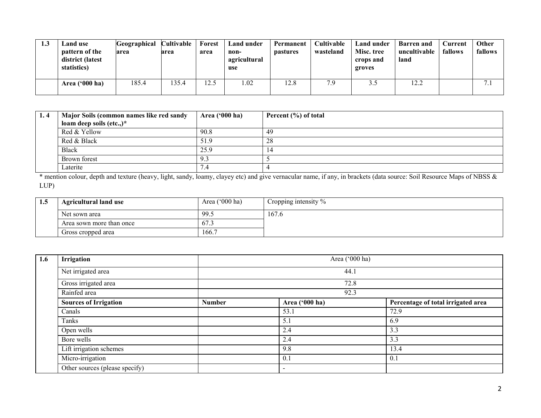| 1.3 | Land use<br>pattern of the<br>district (latest<br>statistics) | Geographical<br>area | Cultivable<br>area | Forest<br>area | Land under<br>non-<br>agricultural<br>use | Permanent<br><b>pastures</b> | <b>Cultivable</b><br>wasteland | Land under<br>Misc. tree<br>crops and<br>groves | <b>Barren</b> and<br>uncultivable<br>land | Current<br>fallows | Other<br>fallows         |
|-----|---------------------------------------------------------------|----------------------|--------------------|----------------|-------------------------------------------|------------------------------|--------------------------------|-------------------------------------------------|-------------------------------------------|--------------------|--------------------------|
|     | Area $('000 ha)$                                              | 185.4                | 135.4              | 12.5           | .02                                       | 12.8                         | 7.9                            | 3.3                                             | 12.2                                      |                    | $\overline{\phantom{a}}$ |

| 1.4 | Major Soils (common names like red sandy | Area ('000 ha) | Percent (%) of total |
|-----|------------------------------------------|----------------|----------------------|
|     | loam deep soils (etc.,)*                 |                |                      |
|     | Red & Yellow                             | 90.8           | -49                  |
|     | Red & Black                              | 51.9           | -28                  |
|     | <b>Black</b>                             | 25.9           |                      |
|     | Brown forest                             | 9.5            |                      |
|     | Laterite                                 | ۲.4            |                      |

 \* mention colour, depth and texture (heavy, light, sandy, loamy, clayey etc) and give vernacular name, if any, in brackets (data source: Soil Resource Maps of NBSS & LUP)

| 1.5 | <b>Agricultural land use</b> | Area $('000 ha)$ | Cropping intensity % |
|-----|------------------------------|------------------|----------------------|
|     | Net sown area                | 99.5             | 167.6                |
|     | Area sown more than once     | 67.3             |                      |
|     | Gross cropped area           | 166.7            |                      |

| 1.6 | <b>Irrigation</b>              |               | Area ('000 ha)<br>44.1   |                                    |  |  |  |  |
|-----|--------------------------------|---------------|--------------------------|------------------------------------|--|--|--|--|
|     | Net irrigated area             |               |                          |                                    |  |  |  |  |
|     | Gross irrigated area           |               | 72.8<br>92.3             |                                    |  |  |  |  |
|     | Rainfed area                   |               |                          |                                    |  |  |  |  |
|     | <b>Sources of Irrigation</b>   | <b>Number</b> | Area ('000 ha)           | Percentage of total irrigated area |  |  |  |  |
|     | Canals                         |               | 53.1                     | 72.9                               |  |  |  |  |
|     | Tanks                          |               | 5.1                      | 6.9                                |  |  |  |  |
|     | Open wells                     |               | 2.4                      | 3.3                                |  |  |  |  |
|     | Bore wells                     |               | 2.4                      | 3.3                                |  |  |  |  |
|     | Lift irrigation schemes        |               | 9.8                      | 13.4                               |  |  |  |  |
|     | Micro-irrigation               |               | 0.1                      | 0.1                                |  |  |  |  |
|     | Other sources (please specify) |               | $\overline{\phantom{a}}$ |                                    |  |  |  |  |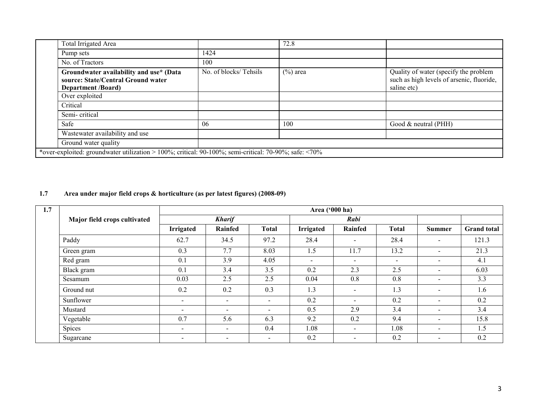| <b>Total Irrigated Area</b>                                                                                |                       | 72.8        |                                                                                                   |  |
|------------------------------------------------------------------------------------------------------------|-----------------------|-------------|---------------------------------------------------------------------------------------------------|--|
| Pump sets                                                                                                  | 1424                  |             |                                                                                                   |  |
| No. of Tractors                                                                                            | 100                   |             |                                                                                                   |  |
| Groundwater availability and use* (Data<br>source: State/Central Ground water<br><b>Department</b> /Board) | No. of blocks/Tehsils | $(\%)$ area | Quality of water (specify the problem<br>such as high levels of arsenic, fluoride,<br>saline etc) |  |
| Over exploited                                                                                             |                       |             |                                                                                                   |  |
| Critical                                                                                                   |                       |             |                                                                                                   |  |
| Semi-critical                                                                                              |                       |             |                                                                                                   |  |
| Safe                                                                                                       | 06                    | 100         | Good & neutral (PHH)                                                                              |  |
| Wastewater availability and use                                                                            |                       |             |                                                                                                   |  |
| Ground water quality                                                                                       |                       |             |                                                                                                   |  |
| *over-exploited: groundwater utilization > 100%; critical: 90-100%; semi-critical: 70-90%; safe: <70%      |                       |             |                                                                                                   |  |

### 1.7 Area under major field crops & horticulture (as per latest figures) (2008-09)

| 1.7 |                              |                          | Area ('000 ha)           |                          |           |                |                          |                |                    |
|-----|------------------------------|--------------------------|--------------------------|--------------------------|-----------|----------------|--------------------------|----------------|--------------------|
|     | Major field crops cultivated |                          | <b>Kharif</b>            |                          |           | Rabi           |                          |                |                    |
|     |                              | <b>Irrigated</b>         | Rainfed                  | <b>Total</b>             | Irrigated | Rainfed        | <b>Total</b>             | <b>Summer</b>  | <b>Grand</b> total |
|     | Paddy                        | 62.7                     | 34.5                     | 97.2                     | 28.4      |                | 28.4                     | $\blacksquare$ | 121.3              |
|     | Green gram                   | 0.3                      | 7.7                      | 8.03                     | 1.5       | 11.7           | 13.2                     | $\blacksquare$ | 21.3               |
|     | Red gram                     | 0.1                      | 3.9                      | 4.05                     | $\sim$    | $\blacksquare$ | $\overline{\phantom{a}}$ | $\sim$         | 4.1                |
|     | Black gram                   | 0.1                      | 3.4                      | 3.5                      | 0.2       | 2.3            | 2.5                      | $\blacksquare$ | 6.03               |
|     | Sesamum                      | 0.03                     | 2.5                      | 2.5                      | 0.04      | 0.8            | 0.8                      | $\sim$         | 3.3                |
|     | Ground nut                   | 0.2                      | 0.2                      | 0.3                      | 1.3       | $\sim$         | 1.3                      | $\sim$         | 1.6                |
|     | Sunflower                    | $\overline{\phantom{a}}$ | $\overline{\phantom{a}}$ | $\overline{\phantom{a}}$ | 0.2       | $\blacksquare$ | 0.2                      | $\sim$         | 0.2                |
|     | Mustard                      | $\overline{\phantom{0}}$ | $\overline{\phantom{0}}$ | $\overline{\phantom{a}}$ | 0.5       | 2.9            | 3.4                      | $\sim$         | 3.4                |
|     | Vegetable                    | 0.7                      | 5.6                      | 6.3                      | 9.2       | 0.2            | 9.4                      | $\sim$         | 15.8               |
|     | Spices                       | $\overline{\phantom{a}}$ | $\sim$                   | 0.4                      | 1.08      | $\sim$         | 1.08                     | $\sim$         | 1.5                |
|     | Sugarcane                    | $\overline{\phantom{a}}$ | $\sim$                   | $\overline{\phantom{a}}$ | 0.2       | $\blacksquare$ | 0.2                      | $\sim$         | 0.2                |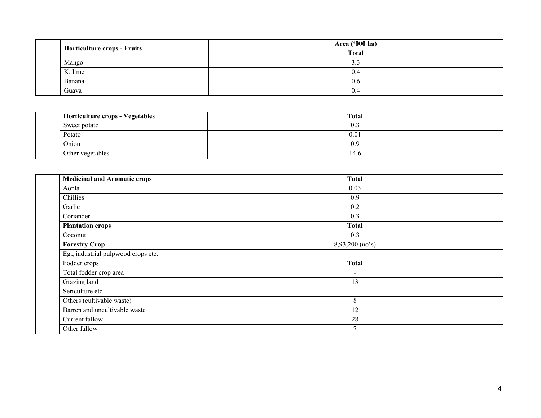| Horticulture crops - Fruits | Area ('000 ha) |
|-----------------------------|----------------|
|                             | <b>Total</b>   |
| Mango                       | ت ب            |
| K. lime                     | 0.4            |
| Banana                      | 0.6            |
| Guava                       | 0.4            |

| Horticulture crops - Vegetables | <b>Total</b> |
|---------------------------------|--------------|
| Sweet potato                    | U.           |
| Potato                          | 0.01         |
| Onion                           | 0.9          |
| Other vegetables                | 14.6         |

| <b>Medicinal and Aromatic crops</b> | <b>Total</b>    |
|-------------------------------------|-----------------|
| Aonla                               | 0.03            |
| Chillies                            | 0.9             |
| Garlic                              | 0.2             |
| Coriander                           | 0.3             |
| <b>Plantation crops</b>             | <b>Total</b>    |
| Coconut                             | 0.3             |
| <b>Forestry Crop</b>                | 8,93,200 (no's) |
| Eg., industrial pulpwood crops etc. |                 |
| Fodder crops                        | <b>Total</b>    |
| Total fodder crop area              | Ξ.              |
| Grazing land                        | 13              |
| Sericulture etc                     | $\blacksquare$  |
| Others (cultivable waste)           | 8               |
| Barren and uncultivable waste       | 12              |
| Current fallow                      | 28              |
| Other fallow                        |                 |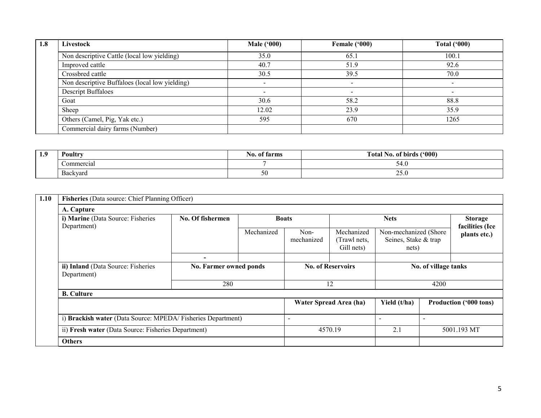| 1.8 | Livestock                                      | <b>Male</b> ('000) | Female ('000) | <b>Total ('000)</b> |
|-----|------------------------------------------------|--------------------|---------------|---------------------|
|     | Non descriptive Cattle (local low yielding)    | 35.0               | 65.1          | 100.1               |
|     | Improved cattle                                | 40.7               | 51.9          | 92.6                |
|     | Crossbred cattle                               | 30.5               | 39.5          | 70.0                |
|     | Non descriptive Buffaloes (local low yielding) |                    |               |                     |
|     | <b>Descript Buffaloes</b>                      |                    |               |                     |
|     | Goat                                           | 30.6               | 58.2          | 88.8                |
|     | Sheep                                          | 12.02              | 23.9          | 35.9                |
|     | Others (Camel, Pig, Yak etc.)                  | 595                | 670           | 1265                |
|     | Commercial dairy farms (Number)                |                    |               |                     |

| 1.9 | Poultry       | of farms<br>NO. | (900)<br>$\sim$<br>of birds<br>Total<br>NO. |
|-----|---------------|-----------------|---------------------------------------------|
|     | `ommercia     |                 | 54.U                                        |
|     | ∽<br>Backvard | $50^{\circ}$    | nε<br>$\sim\!\!\sim\! \cdot\! \nu$          |

| 1.10 | Fisheries (Data source: Chief Planning Officer)                             |                                                             |              |                        |                                          |                                                        |                               |                                   |  |
|------|-----------------------------------------------------------------------------|-------------------------------------------------------------|--------------|------------------------|------------------------------------------|--------------------------------------------------------|-------------------------------|-----------------------------------|--|
|      | A. Capture                                                                  |                                                             |              |                        |                                          |                                                        |                               |                                   |  |
|      | i) Marine (Data Source: Fisheries<br>Department)                            | No. Of fishermen                                            | <b>Boats</b> |                        |                                          | <b>Nets</b>                                            |                               | <b>Storage</b><br>facilities (Ice |  |
|      |                                                                             |                                                             | Mechanized   | Non-<br>mechanized     | Mechanized<br>(Trawl nets,<br>Gill nets) | Non-mechanized (Shore<br>Seines, Stake & trap<br>nets) |                               | plants etc.)                      |  |
|      |                                                                             | $\overline{\phantom{0}}$                                    |              |                        |                                          |                                                        |                               |                                   |  |
|      | ii) Inland (Data Source: Fisheries<br>No. Farmer owned ponds<br>Department) |                                                             |              |                        | <b>No. of Reservoirs</b>                 |                                                        | No. of village tanks          |                                   |  |
|      |                                                                             | 280                                                         | 12           |                        |                                          |                                                        | 4200                          |                                   |  |
|      | <b>B.</b> Culture                                                           |                                                             |              |                        |                                          |                                                        |                               |                                   |  |
|      |                                                                             |                                                             |              | Water Spread Area (ha) | Yield (t/ha)                             |                                                        | <b>Production ('000 tons)</b> |                                   |  |
|      |                                                                             | i) Brackish water (Data Source: MPEDA/Fisheries Department) |              |                        |                                          |                                                        |                               |                                   |  |
|      | ii) Fresh water (Data Source: Fisheries Department)                         |                                                             |              |                        | 4570.19                                  | 2.1                                                    |                               | 5001.193 MT                       |  |
|      | <b>Others</b>                                                               |                                                             |              |                        |                                          |                                                        |                               |                                   |  |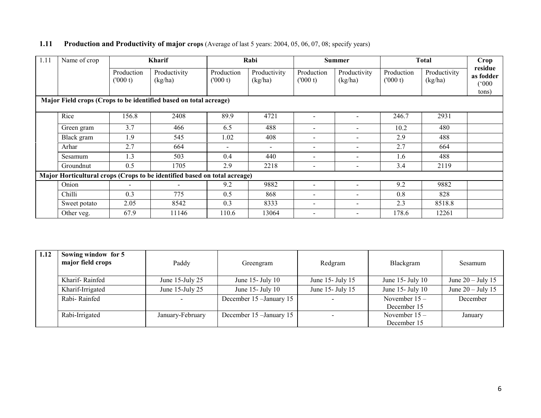| 1. L L | <b>I FOULCION AND F FOULCIPITY OF MAJOR CLOPS</b> (AVORGE OF RISE 2 YEARS, 2004, 02, 00, 07, 06, SPECITY YEARS) |                      |                                             |                                  |                               |                                  |                                             |                                  |                                 |                   |  |
|--------|-----------------------------------------------------------------------------------------------------------------|----------------------|---------------------------------------------|----------------------------------|-------------------------------|----------------------------------|---------------------------------------------|----------------------------------|---------------------------------|-------------------|--|
| 1.11   | Name of crop                                                                                                    | Kharif               |                                             | Rabi                             |                               | Summer                           |                                             | <b>Total</b>                     |                                 | rop_              |  |
|        |                                                                                                                 | Production<br>(1000) | Productivity<br>$(1 - \sqrt{1 - \sqrt{2}})$ | Production<br>$(1000 \text{ A})$ | Productivity<br>$(1 - 1 - 1)$ | Production<br>$(1000 \text{ A})$ | Productivity<br>$(l_{\rm rot}/l_{\rm tot})$ | Production<br>$(1000 \text{ A})$ | Productivity<br>$(1 - \lambda)$ | residu<br>as fodd |  |

### 1.11 Production and Productivity of major crops (Average of last 5 years: 2004, 05, 06, 07, 08; specify years)

|  |              | (000 t) | (kg/ha)                                                                   | (000 t) | (kg/ha) | (000 t) | (kg/ha)                  | (000 t) | (kg/ha) | as <i>rodder</i><br>(000)<br>tons) |
|--|--------------|---------|---------------------------------------------------------------------------|---------|---------|---------|--------------------------|---------|---------|------------------------------------|
|  |              |         | Major Field crops (Crops to be identified based on total acreage)         |         |         |         |                          |         |         |                                    |
|  | Rice         | 156.8   | 2408                                                                      | 89.9    | 4721    |         |                          | 246.7   | 2931    |                                    |
|  | Green gram   | 3.7     | 466                                                                       | 6.5     | 488     |         |                          | 10.2    | 480     |                                    |
|  | Black gram   | 1.9     | 545                                                                       | 1.02    | 408     |         |                          | 2.9     | 488     |                                    |
|  | Arhar        | 2.7     | 664                                                                       |         |         |         |                          | 2.7     | 664     |                                    |
|  | Sesamum      | 1.3     | 503                                                                       | 0.4     | 440     |         | $\overline{\phantom{0}}$ | 1.6     | 488     |                                    |
|  | Groundnut    | 0.5     | 1705                                                                      | 2.9     | 2218    |         |                          | 3.4     | 2119    |                                    |
|  |              |         | Major Horticultural crops (Crops to be identified based on total acreage) |         |         |         |                          |         |         |                                    |
|  | Onion        |         |                                                                           | 9.2     | 9882    |         |                          | 9.2     | 9882    |                                    |
|  | Chilli       | 0.3     | 775                                                                       | 0.5     | 868     |         | $\blacksquare$           | 0.8     | 828     |                                    |
|  | Sweet potato | 2.05    | 8542                                                                      | 0.3     | 8333    |         |                          | 2.3     | 8518.8  |                                    |
|  | Other veg.   | 67.9    | 11146                                                                     | 110.6   | 13064   |         |                          | 178.6   | 12261   |                                    |

| 1.12 | Sowing window for 5<br>major field crops | Paddy                | Greengram                | Redgram                  | Blackgram             | Sesamum             |
|------|------------------------------------------|----------------------|--------------------------|--------------------------|-----------------------|---------------------|
|      | Kharif-Rainfed                           | June $15$ -July $25$ | June $15$ - July $10$    | June 15 - July 15        | June $15$ - July $10$ | June $20 -$ July 15 |
|      | Kharif-Irrigated                         | June $15$ -July $25$ | June 15 - July 10        | June 15 - July 15        | June 15- July 10      | June $20 -$ July 15 |
|      | Rabi-Rainfed                             |                      | December 15 - January 15 | $\overline{\phantom{0}}$ | November $15 -$       | December            |
|      |                                          |                      |                          |                          | December 15           |                     |
|      | Rabi-Irrigated                           | January-February     | December 15 - January 15 |                          | November $15 -$       | January             |
|      |                                          |                      |                          |                          | December 15           |                     |

residue as fodder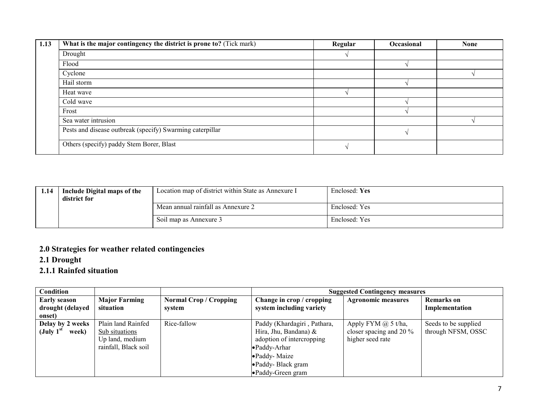| 1.13 | What is the major contingency the district is prone to? (Tick mark) | Regular | Occasional | <b>None</b> |
|------|---------------------------------------------------------------------|---------|------------|-------------|
|      | Drought                                                             |         |            |             |
|      | Flood                                                               |         |            |             |
|      | Cyclone                                                             |         |            |             |
|      | Hail storm                                                          |         |            |             |
|      | Heat wave                                                           |         |            |             |
|      | Cold wave                                                           |         |            |             |
|      | Frost                                                               |         |            |             |
|      | Sea water intrusion                                                 |         |            |             |
|      | Pests and disease outbreak (specify) Swarming caterpillar           |         |            |             |
|      | Others (specify) paddy Stem Borer, Blast                            |         |            |             |

| 1.14 | Include Digital maps of the<br>district for | Location map of district within State as Annexure I | Enclosed: Yes |
|------|---------------------------------------------|-----------------------------------------------------|---------------|
|      |                                             | Mean annual rainfall as Annexure 2                  | Enclosed: Yes |
|      |                                             | Soil map as Annexure 3                              | Enclosed: Yes |

## 2.0 Strategies for weather related contingencies

# 2.1 Drought

# 2.1.1 Rainfed situation

| Condition<br><b>Suggested Contingency measures</b> |                                                                                 |                                         |                                                                                                                                                              |                                                                              |                                            |
|----------------------------------------------------|---------------------------------------------------------------------------------|-----------------------------------------|--------------------------------------------------------------------------------------------------------------------------------------------------------------|------------------------------------------------------------------------------|--------------------------------------------|
| <b>Early season</b><br>drought (delayed<br>onset)  | <b>Major Farming</b><br>situation                                               | <b>Normal Crop / Cropping</b><br>system | Change in crop / cropping<br>system including variety                                                                                                        | <b>Agronomic measures</b>                                                    | <b>Remarks</b> on<br>Implementation        |
| Delay by 2 weeks<br>(July $1st$<br>week)           | Plain land Rainfed<br>Sub situations<br>Up land, medium<br>rainfall, Black soil | Rice-fallow                             | Paddy (Khardagiri, Pathara,<br>Hira, Jhu, Bandana) &<br>adoption of intercropping<br>•Paddy-Arhar<br>•Paddy-Maize<br>•Paddy-Black gram<br>• Paddy-Green gram | Apply FYM $\omega$ 5 t/ha,<br>closer spacing and 20 $\%$<br>higher seed rate | Seeds to be supplied<br>through NFSM, OSSC |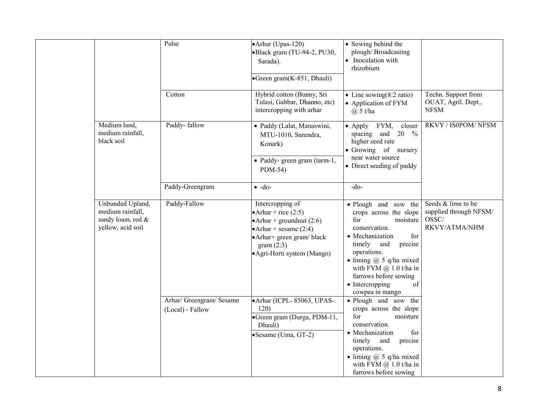|                                                                                | Pulse                                        | • Arhar (Upas-120)<br>·Black gram (TU-94-2, PU30,<br>Sarada).<br>•Green gram(K-851, Dhauli)                                                                                     | • Sowing behind the<br>plough/Broadcasting<br>Inoculation with<br>rhizobium                                                                                                                                                                                                                  |                                                                        |
|--------------------------------------------------------------------------------|----------------------------------------------|---------------------------------------------------------------------------------------------------------------------------------------------------------------------------------|----------------------------------------------------------------------------------------------------------------------------------------------------------------------------------------------------------------------------------------------------------------------------------------------|------------------------------------------------------------------------|
|                                                                                | Cotton                                       | Hybrid cotton (Bunny, Sri<br>Tulasi, Gabbar, Dhanno, etc)<br>intercropping with arhar                                                                                           | • Line sowing $(8:2 \text{ ratio})$<br>• Application of FYM<br>$(a)$ 5 t/ha                                                                                                                                                                                                                  | Techn. Support from<br>OUAT, Agril. Dept.,<br><b>NFSM</b>              |
| Medium land,<br>medium rainfall,<br>black soil                                 | Paddy-fallow                                 | · Paddy (Lalat, Manaswini,<br>MTU-1010, Surendra,<br>Konark)<br>· Paddy- green gram (tarm-1,<br>PDM-54)                                                                         | • Apply FYM, closer<br>spacing and $20\%$<br>higher seed rate<br>• Growing of nursery<br>near water source<br>• Direct seeding of paddy                                                                                                                                                      | RKVY / IS0POM/ NFSM                                                    |
|                                                                                | Paddy-Greengram                              | $\bullet$ -do-                                                                                                                                                                  | $-do-$                                                                                                                                                                                                                                                                                       |                                                                        |
| Unbunded Upland,<br>medium rainfall,<br>sandy loam, red &<br>yellow, acid soil | Paddy-Fallow                                 | Intercropping of<br>• Arhar + rice $(2:5)$<br>• Arhar + groundnut $(2:6)$<br>• Arhar + sesame $(2:4)$<br>• Arhar+ green gram/ black<br>gram(2:3)<br>• Agri-Horti system (Mango) | · Plough and sow the<br>crops across the slope<br>for<br>moisture<br>conservation.<br>• Mechanization<br>for<br>timely and<br>precise<br>operations.<br>$\bullet$ liming $@$ 5 q/ha mixed<br>with FYM $(a)$ 1.0 t/ha in<br>furrows before sowing<br>• Intercropping<br>of<br>cowpea in mango | Seeds & lime to be<br>supplied through NFSM/<br>OSSC/<br>RKVY/ATMA/NHM |
|                                                                                | Arhar/ Greengram/ Sesame<br>(Local) - Fallow | • Arhar (ICPL-85063, UPAS-<br>120)<br>•Green gram (Durga, PDM-11,<br>Dhauli)<br>•Sesame (Uma, GT-2)                                                                             | · Plough and sow the<br>crops across the slope<br>for<br>moisture<br>conservation.<br>• Mechanization<br>for<br>timely<br>and<br>precise<br>operations.<br>$\bullet$ liming $@$ 5 q/ha mixed<br>with FYM $@$ 1.0 t/ha in<br>furrows before sowing                                            |                                                                        |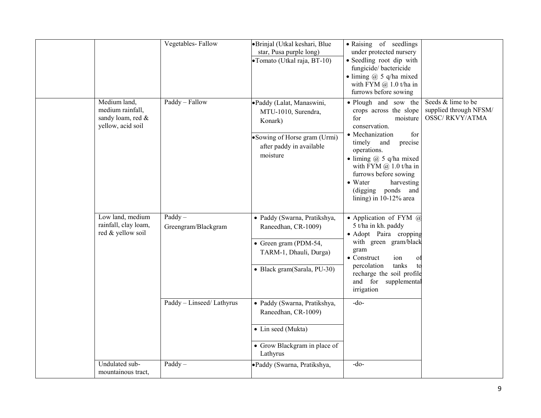|                                                                            | Vegetables-Fallow                | •Brinjal (Utkal keshari, Blue<br>star, Pusa purple long)<br>•Tomato (Utkal raja, BT-10)                                                       | • Raising of seedlings<br>under protected nursery<br>• Seedling root dip with<br>fungicide/bactericide<br>$\bullet$ liming $(a)$ 5 q/ha mixed<br>with FYM $@1.0$ t/ha in<br>furrows before sowing                                                                                                                                   |                                                                       |
|----------------------------------------------------------------------------|----------------------------------|-----------------------------------------------------------------------------------------------------------------------------------------------|-------------------------------------------------------------------------------------------------------------------------------------------------------------------------------------------------------------------------------------------------------------------------------------------------------------------------------------|-----------------------------------------------------------------------|
| Medium land,<br>medium rainfall,<br>sandy loam, red &<br>yellow, acid soil | Paddy - Fallow                   | ·Paddy (Lalat, Manaswini,<br>MTU-1010, Surendra,<br>Konark)<br>• Sowing of Horse gram (Urmi)<br>after paddy in available<br>moisture          | • Plough and sow the<br>crops across the slope<br>for<br>moisture<br>conservation.<br>• Mechanization<br>for<br>precise<br>timely and<br>operations.<br>$\bullet$ liming $(a)$ 5 q/ha mixed<br>with FYM $(a)$ 1.0 t/ha in<br>furrows before sowing<br>$\bullet$ Water<br>harvesting<br>(digging ponds and<br>lining) in 10-12% area | Seeds & lime to be<br>supplied through NFSM/<br><b>OSSC/RKVY/ATMA</b> |
| Low land, medium<br>rainfall, clay loam,<br>red & yellow soil              | $Paddy -$<br>Greengram/Blackgram | · Paddy (Swarna, Pratikshya,<br>Raneedhan, CR-1009)<br>$\bullet$ Green gram (PDM-54,<br>TARM-1, Dhauli, Durga)<br>• Black gram(Sarala, PU-30) | • Application of FYM $@$<br>5 t/ha in kh. paddy<br>· Adopt Paira cropping<br>with green gram/black<br>gram<br>$\bullet$ Construct<br>ion<br>O <sub>1</sub><br>tanks<br>percolation<br>to<br>recharge the soil profile<br>and for supplemental<br>irrigation                                                                         |                                                                       |
|                                                                            | Paddy - Linseed/ Lathyrus        | · Paddy (Swarna, Pratikshya,<br>Raneedhan, CR-1009)<br>• Lin seed (Mukta)<br>• Grow Blackgram in place of<br>Lathyrus                         | $-do-$                                                                                                                                                                                                                                                                                                                              |                                                                       |
| Undulated sub-<br>mountainous tract,                                       | $Paddy -$                        | •Paddy (Swarna, Pratikshya,                                                                                                                   | -do-                                                                                                                                                                                                                                                                                                                                |                                                                       |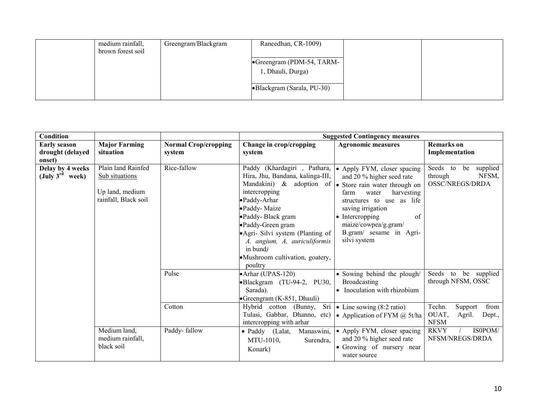| medium rainfall,  | Greengram/Blackgram | Raneedhan, CR-1009)        |  |
|-------------------|---------------------|----------------------------|--|
| brown forest soil |                     |                            |  |
|                   |                     | •Greengram (PDM-54, TARM-  |  |
|                   |                     | 1, Dhauli, Durga)          |  |
|                   |                     |                            |  |
|                   |                     | •Blackgram (Sarala, PU-30) |  |
|                   |                     |                            |  |

| Condition                                              |                      |                             |                                                                  | <b>Suggested Contingency measures</b>                                      |                                             |
|--------------------------------------------------------|----------------------|-----------------------------|------------------------------------------------------------------|----------------------------------------------------------------------------|---------------------------------------------|
| Early season                                           | <b>Major Farming</b> | <b>Normal Crop/cropping</b> | Change in crop/cropping                                          | <b>Agronomic measures</b>                                                  | <b>Remarks</b> on                           |
| drought (delayed                                       | situation            | system                      | system                                                           |                                                                            | Implementation                              |
| onset)                                                 | Plain land Rainfed   | Rice-fallow                 |                                                                  |                                                                            |                                             |
| Delay by 4 weeks<br>$(\mathrm{July\ 3^{rd}})$<br>week) | Sub situations       |                             | Paddy (Khardagiri , Pathara,<br>Hira, Jhu, Bandana, kalinga-III, | • Apply FYM, closer spacing<br>and 20 % higher seed rate                   | Seeds to be<br>supplied<br>NFSM,<br>through |
|                                                        |                      |                             | Mandakini) & adoption of $\bullet$ Store rain water through on   |                                                                            | OSSC/NREGS/DRDA                             |
|                                                        | Up land, medium      |                             | intercropping                                                    | harvesting<br>water<br>farm                                                |                                             |
|                                                        | rainfall, Black soil |                             | • Paddy-Arhar                                                    | structures to use as life                                                  |                                             |
|                                                        |                      |                             | •Paddy-Maize                                                     | saving irrigation                                                          |                                             |
|                                                        |                      |                             | •Paddy-Black gram                                                | $\bullet$ Intercropping<br>of                                              |                                             |
|                                                        |                      |                             | •Paddy-Green gram                                                | maize/cowpea/g.gram/                                                       |                                             |
|                                                        |                      |                             | • Agri- Silvi system (Planting of                                | B.gram/ sesame in Agri-                                                    |                                             |
|                                                        |                      |                             | A. angium, A. auriculiformis<br>in bund)                         | silvi system                                                               |                                             |
|                                                        |                      |                             | • Mushroom cultivation, goatery,                                 |                                                                            |                                             |
|                                                        |                      |                             | poultry                                                          |                                                                            |                                             |
|                                                        |                      | Pulse                       | • Arhar (UPAS-120)                                               | • Sowing behind the plough/                                                | Seeds to be supplied                        |
|                                                        |                      |                             | •Blackgram (TU-94-2, PU30,                                       | Broadcasting                                                               | through NFSM, OSSC                          |
|                                                        |                      |                             | Sarada).                                                         | Inoculation with rhizobium                                                 |                                             |
|                                                        |                      | Cotton                      | •Greengram (K-851, Dhauli)                                       |                                                                            | Techn.<br>from                              |
|                                                        |                      |                             | Sri<br>Hybrid cotton (Bunny,<br>Tulasi, Gabbar, Dhanno, etc)     | • Line sowing $(8:2 \text{ ratio})$<br>• Application of FYM $\omega$ 5t/ha | Support<br>OUAT,<br>Agril.<br>Dept.,        |
|                                                        |                      |                             | intercropping with arhar                                         |                                                                            | <b>NFSM</b>                                 |
|                                                        | Medium land,         | Paddy-fallow                | Manaswini,<br>$\bullet$ Paddy (Lalat,                            | • Apply FYM, closer spacing                                                | <b>RKVY</b><br>IS0POM/                      |
|                                                        | medium rainfall,     |                             | MTU-1010,<br>Surendra,                                           | and 20 % higher seed rate                                                  | NFSM/NREGS/DRDA                             |
|                                                        | black soil           |                             | Konark)                                                          | • Growing of nursery near<br>water source                                  |                                             |
|                                                        |                      |                             |                                                                  |                                                                            |                                             |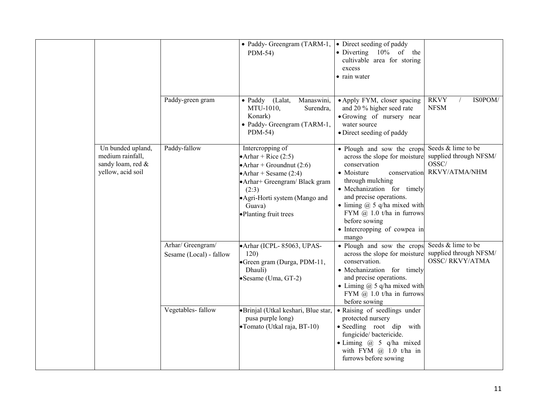|                                                                                 |                                              | • Paddy- Greengram (TARM-1,<br>PDM-54)                                                                                                                                                                                      | • Direct seeding of paddy<br>• Diverting $10\%$ of the<br>cultivable area for storing<br>excess<br>• rain water                                                                                                                                                                                                       |                                                                        |
|---------------------------------------------------------------------------------|----------------------------------------------|-----------------------------------------------------------------------------------------------------------------------------------------------------------------------------------------------------------------------------|-----------------------------------------------------------------------------------------------------------------------------------------------------------------------------------------------------------------------------------------------------------------------------------------------------------------------|------------------------------------------------------------------------|
|                                                                                 | Paddy-green gram                             | • Paddy<br>(Lalat,<br>Manaswini,<br>MTU-1010,<br>Surendra,<br>Konark)<br>• Paddy- Greengram (TARM-1,<br>PDM-54)                                                                                                             | • Apply FYM, closer spacing<br>and 20 % higher seed rate<br>• Growing of nursery near<br>water source<br>· Direct seeding of paddy                                                                                                                                                                                    | <b>RKVY</b><br>IS0POM/<br><b>NFSM</b>                                  |
| Un bunded upland,<br>medium rainfall,<br>sandy loam, red &<br>yellow, acid soil | Paddy-fallow                                 | Intercropping of<br>• Arhar + Rice $(2:5)$<br>$\bullet$ Arhar + Groundnut (2:6)<br>• Arhar + Sesame $(2:4)$<br>• Arhar+ Greengram/ Black gram<br>(2:3)<br>• Agri-Horti system (Mango and<br>Guava)<br>•Planting fruit trees | • Plough and sow the crops<br>across the slope for moisture<br>conservation<br>• Moisture<br>conservation<br>through mulching<br>· Mechanization for timely<br>and precise operations.<br>• liming $(a)$ 5 q/ha mixed with<br>FYM $(a)$ 1.0 t/ha in furrows<br>before sowing<br>• Intercropping of cowpea in<br>mango | Seeds & lime to be<br>supplied through NFSM/<br>OSSC/<br>RKVY/ATMA/NHM |
|                                                                                 | Arhar/ Greengram/<br>Sesame (Local) - fallow | • Arhar (ICPL-85063, UPAS-<br>120)<br>•Green gram (Durga, PDM-11,<br>Dhauli)<br>• Sesame (Uma, GT-2)                                                                                                                        | • Plough and sow the crops<br>across the slope for moisture<br>conservation.<br>· Mechanization for timely<br>and precise operations.<br>• Liming $\omega$ 5 q/ha mixed with<br>FYM $(a)$ 1.0 t/ha in furrows<br>before sowing                                                                                        | Seeds & lime to be<br>supplied through NFSM/<br><b>OSSC/RKVY/ATMA</b>  |
|                                                                                 | Vegetables-fallow                            | ·Brinjal (Utkal keshari, Blue star,<br>pusa purple long)<br>•Tomato (Utkal raja, BT-10)                                                                                                                                     | • Raising of seedlings under<br>protected nursery<br>• Seedling root dip<br>with<br>fungicide/bactericide.<br>$\bullet$ Liming $@$ 5 q/ha mixed<br>with FYM $@$ 1.0 t/ha in<br>furrows before sowing                                                                                                                  |                                                                        |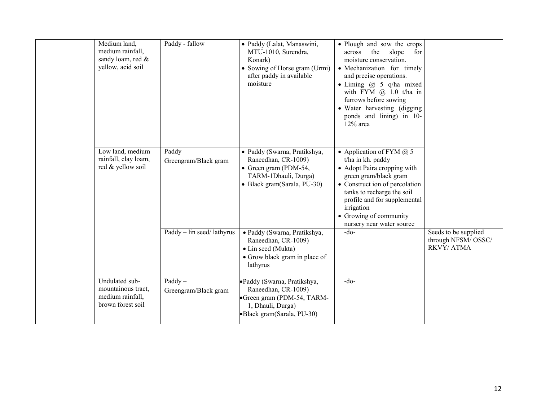| Medium land,<br>medium rainfall,<br>sandy loam, red &<br>yellow, acid soil    | Paddy - fallow                    | · Paddy (Lalat, Manaswini,<br>MTU-1010, Surendra,<br>Konark)<br>• Sowing of Horse gram (Urmi)<br>after paddy in available<br>moisture | • Plough and sow the crops<br>the<br>slope<br>for<br>across<br>moisture conservation.<br>· Mechanization for timely<br>and precise operations.<br>• Liming $\omega$ 5 q/ha mixed<br>with FYM $(a)$ 1.0 t/ha in<br>furrows before sowing<br>• Water harvesting (digging<br>ponds and lining) in 10-<br>$12\%$ area |                                                         |
|-------------------------------------------------------------------------------|-----------------------------------|---------------------------------------------------------------------------------------------------------------------------------------|-------------------------------------------------------------------------------------------------------------------------------------------------------------------------------------------------------------------------------------------------------------------------------------------------------------------|---------------------------------------------------------|
| Low land, medium<br>rainfall, clay loam,<br>red & yellow soil                 | $Paddy -$<br>Greengram/Black gram | · Paddy (Swarna, Pratikshya,<br>Raneedhan, CR-1009)<br>• Green gram (PDM-54,<br>TARM-1Dhauli, Durga)<br>• Black gram(Sarala, PU-30)   | • Application of FYM $\omega$ 5<br>t/ha in kh. paddy<br>• Adopt Paira cropping with<br>green gram/black gram<br>• Construct ion of percolation<br>tanks to recharge the soil<br>profile and for supplemental<br>irrigation<br>• Growing of community<br>nursery near water source                                 |                                                         |
|                                                                               | Paddy - lin seed/lathyrus         | · Paddy (Swarna, Pratikshya,<br>Raneedhan, CR-1009)<br>• Lin seed (Mukta)<br>• Grow black gram in place of<br>lathyrus                | $-do$                                                                                                                                                                                                                                                                                                             | Seeds to be supplied<br>through NFSM/OSSC/<br>RKVY/ATMA |
| Undulated sub-<br>mountainous tract,<br>medium rainfall,<br>brown forest soil | $Paddy -$<br>Greengram/Black gram | ·Paddy (Swarna, Pratikshya,<br>Raneedhan, CR-1009)<br>Green gram (PDM-54, TARM-<br>1, Dhauli, Durga)<br>•Black gram(Sarala, PU-30)    | $-do$                                                                                                                                                                                                                                                                                                             |                                                         |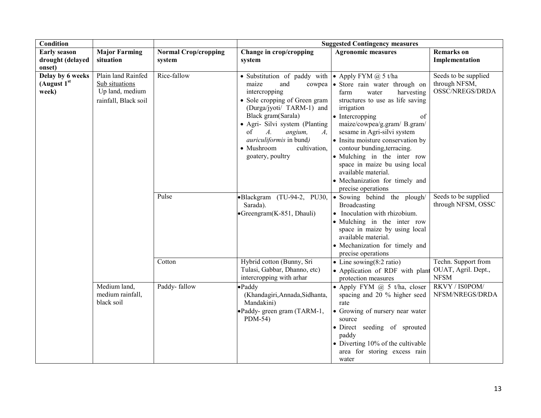| <b>Condition</b>                                  |                                                                                 |                                       | <b>Suggested Contingency measures</b>                                                                                                                                                                                                                                                                                                                                |                                                                                                                                                                                                                                                                                                                                                                                                                           |                                                           |  |
|---------------------------------------------------|---------------------------------------------------------------------------------|---------------------------------------|----------------------------------------------------------------------------------------------------------------------------------------------------------------------------------------------------------------------------------------------------------------------------------------------------------------------------------------------------------------------|---------------------------------------------------------------------------------------------------------------------------------------------------------------------------------------------------------------------------------------------------------------------------------------------------------------------------------------------------------------------------------------------------------------------------|-----------------------------------------------------------|--|
| <b>Early season</b><br>drought (delayed<br>onset) | <b>Major Farming</b><br>situation                                               | <b>Normal Crop/cropping</b><br>system | Change in crop/cropping<br>system                                                                                                                                                                                                                                                                                                                                    | <b>Agronomic measures</b>                                                                                                                                                                                                                                                                                                                                                                                                 | <b>Remarks</b> on<br>Implementation                       |  |
| Delay by 6 weeks<br>(August $1st$<br>week)        | Plain land Rainfed<br>Sub situations<br>Up land, medium<br>rainfall, Black soil | Rice-fallow                           | • Substitution of paddy with $\bullet$ Apply FYM $\omega$ 5 t/ha<br>maize<br>and<br>cowpea<br>intercropping<br>• Sole cropping of Green gram<br>(Durga/jyoti/ TARM-1) and<br>Black gram(Sarala)<br>• Agri- Silvi system (Planting<br>of<br>$A_{\cdot}$<br>angium,<br>$A_{\cdot}$<br><i>auriculiformis</i> in bund)<br>· Mushroom<br>cultivation,<br>goatery, poultry | · Store rain water through on<br>farm<br>water<br>harvesting<br>structures to use as life saving<br>irrigation<br>• Intercropping<br>of<br>maize/cowpea/g.gram/ B.gram/<br>sesame in Agri-silvi system<br>• Insitu moisture conservation by<br>contour bunding, terracing.<br>• Mulching in the inter row<br>space in maize bu using local<br>available material.<br>• Mechanization for timely and<br>precise operations | Seeds to be supplied<br>through NFSM,<br>OSSC/NREGS/DRDA  |  |
|                                                   |                                                                                 | Pulse                                 | •Blackgram (TU-94-2, PU30,<br>Sarada).<br>$\bullet$ Greengram(K-851, Dhauli)                                                                                                                                                                                                                                                                                         | • Sowing behind the plough/<br>Broadcasting<br>• Inoculation with rhizobium.<br>· Mulching in the inter row<br>space in maize by using local<br>available material.<br>• Mechanization for timely and<br>precise operations                                                                                                                                                                                               | Seeds to be supplied<br>through NFSM, OSSC                |  |
|                                                   |                                                                                 | Cotton                                | Hybrid cotton (Bunny, Sri<br>Tulasi, Gabbar, Dhanno, etc)<br>intercropping with arhar                                                                                                                                                                                                                                                                                | • Line sowing $(8:2 \text{ ratio})$<br>• Application of RDF with plant<br>protection measures                                                                                                                                                                                                                                                                                                                             | Techn. Support from<br>OUAT, Agril. Dept.,<br><b>NFSM</b> |  |
|                                                   | Medium land,<br>medium rainfall,<br>black soil                                  | Paddy-fallow                          | $\bullet$ Paddy<br>(Khandagiri, Annada, Sidhanta,<br>Mandakini)<br>•Paddy- green gram (TARM-1,<br>$PDM-54$                                                                                                                                                                                                                                                           | • Apply FYM $(a)$ 5 t/ha, closer<br>spacing and 20 % higher seed<br>rate<br>• Growing of nursery near water<br>source<br>· Direct seeding of sprouted<br>paddy<br>• Diverting 10% of the cultivable<br>area for storing excess rain<br>water                                                                                                                                                                              | RKVY / IS0POM/<br>NFSM/NREGS/DRDA                         |  |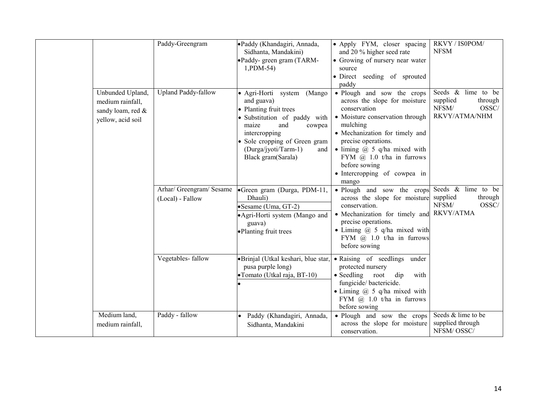|                                                                                | Paddy-Greengram                              | ·Paddy (Khandagiri, Annada,<br>Sidhanta, Mandakini)<br>•Paddy- green gram (TARM-<br>1, PDM-54)                                                                                                                                          | • Apply FYM, closer spacing<br>and 20 % higher seed rate<br>• Growing of nursery near water<br>source<br>· Direct seeding of sprouted<br>paddy                                                                                                                                                                           | RKVY / IS0POM/<br><b>NFSM</b>                                                   |
|--------------------------------------------------------------------------------|----------------------------------------------|-----------------------------------------------------------------------------------------------------------------------------------------------------------------------------------------------------------------------------------------|--------------------------------------------------------------------------------------------------------------------------------------------------------------------------------------------------------------------------------------------------------------------------------------------------------------------------|---------------------------------------------------------------------------------|
| Unbunded Upland,<br>medium rainfall,<br>sandy loam, red &<br>yellow, acid soil | <b>Upland Paddy-fallow</b>                   | • Agri-Horti system<br>(Mango)<br>and guava)<br>• Planting fruit trees<br>· Substitution of paddy with<br>maize<br>and<br>cowpea<br>intercropping<br>• Sole cropping of Green gram<br>(Durga/jyoti/Tarm-1)<br>and<br>Black gram(Sarala) | • Plough and sow the crops<br>across the slope for moisture<br>conservation<br>• Moisture conservation through<br>mulching<br>• Mechanization for timely and<br>precise operations.<br>$\bullet$ liming $(a)$ 5 q/ha mixed with<br>FYM $@$ 1.0 t/ha in furrows<br>before sowing<br>• Intercropping of cowpea in<br>mango | Seeds & lime to be<br>supplied<br>through<br>NFSM/<br>OSSC/<br>RKVY/ATMA/NHM    |
|                                                                                | Arhar/ Greengram/ Sesame<br>(Local) - Fallow | Green gram (Durga, PDM-11,<br>Dhauli)<br>• Sesame (Uma, GT-2)<br>• Agri-Horti system (Mango and<br>guava)<br>•Planting fruit trees                                                                                                      | • Plough and sow the crops<br>across the slope for moisture<br>conservation.<br>• Mechanization for timely and<br>precise operations.<br>• Liming $(a)$ 5 q/ha mixed with<br>FYM $(a)$ 1.0 t/ha in furrows<br>before sowing                                                                                              | Seeds & lime to be<br>supplied<br>through<br>NFSM/<br>OSSC/<br><b>RKVY/ATMA</b> |
|                                                                                | Vegetables-fallow                            | •Brinjal (Utkal keshari, blue star,<br>pusa purple long)<br>• Tomato (Utkal raja, BT-10)                                                                                                                                                | • Raising of seedlings<br>under<br>protected nursery<br>$\bullet$ Seedling<br>root<br>dip<br>with<br>fungicide/bactericide.<br>• Liming $\omega$ 5 q/ha mixed with<br>FYM $\omega$ 1.0 t/ha in furrows<br>before sowing                                                                                                  |                                                                                 |
| Medium land,<br>medium rainfall,                                               | Paddy - fallow                               | Paddy (Khandagiri, Annada,<br>Sidhanta, Mandakini                                                                                                                                                                                       | • Plough and sow the crops<br>across the slope for moisture<br>conservation.                                                                                                                                                                                                                                             | Seeds & lime to be<br>supplied through<br>NFSM/OSSC/                            |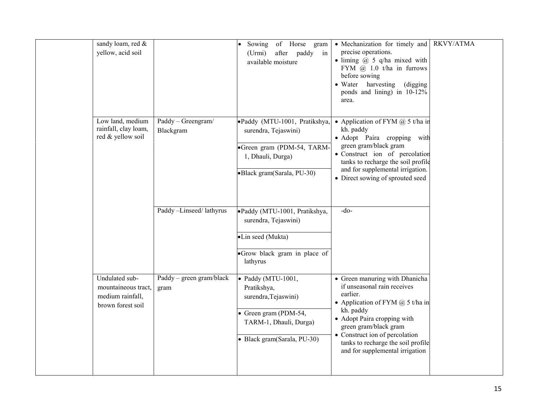| sandy loam, red &<br>yellow, acid soil                                         |                                  | of Horse<br>Sowing<br>gram<br>after<br>paddy<br>(Urmi)<br>in<br>available moisture                                                          | • Mechanization for timely and<br>precise operations.<br>$\bullet$ liming $\omega$ 5 q/ha mixed with<br>FYM $@$ 1.0 t/ha in furrows<br>before sowing<br>• Water harvesting<br>(digging)<br>ponds and lining) in 10-12%<br>area.                                                                 | RKVY/ATMA |
|--------------------------------------------------------------------------------|----------------------------------|---------------------------------------------------------------------------------------------------------------------------------------------|-------------------------------------------------------------------------------------------------------------------------------------------------------------------------------------------------------------------------------------------------------------------------------------------------|-----------|
| Low land, medium<br>rainfall, clay loam,<br>red & yellow soil                  | Paddy - Greengram/<br>Blackgram  | ·Paddy (MTU-1001, Pratikshya,<br>surendra, Tejaswini)<br>·Green gram (PDM-54, TARM-<br>1, Dhauli, Durga)<br>·Black gram(Sarala, PU-30)      | • Application of FYM $(a)$ 5 t/ha in<br>kh. paddy<br>· Adopt Paira cropping with<br>green gram/black gram<br>· Construct ion of percolation<br>tanks to recharge the soil profile<br>and for supplemental irrigation.<br>• Direct sowing of sprouted seed                                       |           |
|                                                                                | Paddy-Linseed/lathyrus           | ·Paddy (MTU-1001, Pratikshya,<br>surendra, Tejaswini)<br>·Lin seed (Mukta)<br>·Grow black gram in place of<br>lathyrus                      | $-do-$                                                                                                                                                                                                                                                                                          |           |
| Undulated sub-<br>mountaineous tract,<br>medium rainfall,<br>brown forest soil | Paddy – green gram/black<br>gram | · Paddy (MTU-1001,<br>Pratikshya,<br>surendra, Tejaswini)<br>• Green gram (PDM-54,<br>TARM-1, Dhauli, Durga)<br>• Black gram(Sarala, PU-30) | • Green manuring with Dhanicha<br>if unseasonal rain receives<br>earlier.<br>• Application of FYM $@$ 5 t/ha in<br>kh. paddy<br>• Adopt Paira cropping with<br>green gram/black gram<br>• Construct ion of percolation<br>tanks to recharge the soil profile<br>and for supplemental irrigation |           |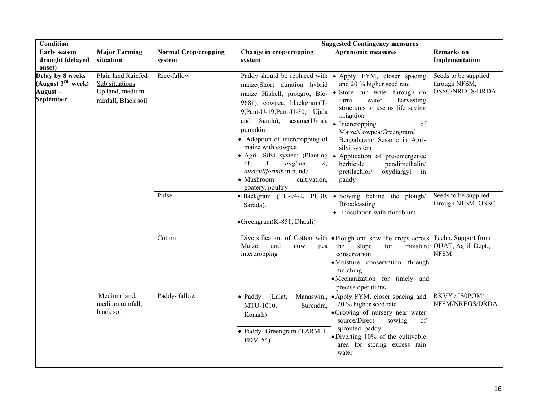| <b>Condition</b>                                                          |                                                                                 |                                       | <b>Suggested Contingency measures</b>                                                                                                                                                                                                                                                                                                                                                                            |                                                                                                                                                                                                                                                                                                                                                                                           |                                                          |  |
|---------------------------------------------------------------------------|---------------------------------------------------------------------------------|---------------------------------------|------------------------------------------------------------------------------------------------------------------------------------------------------------------------------------------------------------------------------------------------------------------------------------------------------------------------------------------------------------------------------------------------------------------|-------------------------------------------------------------------------------------------------------------------------------------------------------------------------------------------------------------------------------------------------------------------------------------------------------------------------------------------------------------------------------------------|----------------------------------------------------------|--|
| <b>Early season</b><br>drought (delayed<br>onset)                         | <b>Major Farming</b><br>situation                                               | <b>Normal Crop/cropping</b><br>system | Change in crop/cropping<br>system                                                                                                                                                                                                                                                                                                                                                                                | <b>Agronomic measures</b>                                                                                                                                                                                                                                                                                                                                                                 | <b>Remarks</b> on<br>Implementation                      |  |
| Delay by 8 weeks<br>(August $3^{rd}$ week)<br>August-<br><b>September</b> | Plain land Rainfed<br>Sub situations<br>Up land, medium<br>rainfall, Black soil | Rice-fallow                           | Paddy should be replaced with<br>maize(Short duration hybrid<br>maize Hishell, proagro, Bio-<br>9681), cowpea, blackgram(T-<br>9, Pant-U-19, Pant-U-30, Ujala<br>and Sarala), sesame(Uma),<br>pumpkin<br>Adoption of intercropping of<br>maize with cowpea<br>• Agri- Silvi system (Planting<br>of<br>$A$ .<br>angium,<br>A,<br><i>auriculiformis</i> in bund)<br>· Mushroom<br>cultivation,<br>goatery, poultry | • Apply FYM, closer spacing<br>and 20 % higher seed rate<br>· Store rain water through on<br>water<br>harvesting<br>farm<br>structures to use as life saving<br>irrigation<br>• Intercropping<br>of<br>Maize/Cowpea/Greengram/<br>Bengalgram/ Sesame in Agri-<br>silvi system<br>• Application of pre-emergence<br>herbicide<br>pendimethalin/<br>pretilachlor/<br>oxydiargyl in<br>paddy | Seeds to be supplied<br>through NFSM,<br>OSSC/NREGS/DRDA |  |
|                                                                           |                                                                                 | Pulse                                 | •Blackgram (TU-94-2, PU30,<br>Sarada).<br>•Greengram(K-851, Dhauli)                                                                                                                                                                                                                                                                                                                                              | · Sowing behind the plough/<br>Broadcasting<br>• Inoculation with rhizobium                                                                                                                                                                                                                                                                                                               | Seeds to be supplied<br>through NFSM, OSSC               |  |
|                                                                           |                                                                                 | Cotton                                | Diversification of Cotton with<br>Maize<br>and<br>cow<br>pea<br>intercropping                                                                                                                                                                                                                                                                                                                                    | • Plough and sow the crops across Techn. Support from<br>for<br>the<br>slope<br>moisture<br>conservation<br>• Moisture conservation through<br>mulching<br>•Mechanization for timely and<br>precise operations.                                                                                                                                                                           | OUAT, Agril. Dept.,<br><b>NFSM</b>                       |  |
|                                                                           | Medium land,<br>medium rainfall,<br>black soil                                  | Paddy-fallow                          | · Paddy (Lalat,<br>MTU-1010,<br>Surendra,<br>Konark)<br>• Paddy- Greengram (TARM-1,<br>PDM-54)                                                                                                                                                                                                                                                                                                                   | Manaswini, Apply FYM, closer spacing and<br>20 % higher seed rate<br>• Growing of nursery near water<br>source/Direct<br>of<br>sowing<br>sprouted paddy<br>• Diverting 10% of the cultivable<br>area for storing excess rain<br>water                                                                                                                                                     | RKVY / IS0POM/<br>NFSM/NREGS/DRDA                        |  |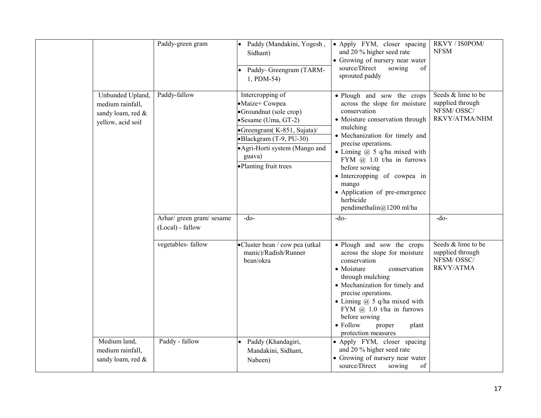|                                                                                | Paddy-green gram                              | Paddy (Mandakini, Yogesh,<br>Sidhant)<br>Paddy- Greengram (TARM-<br>1, PDM-54)                                                                                                                                   | • Apply FYM, closer spacing<br>and 20 % higher seed rate<br>• Growing of nursery near water<br>source/Direct<br>sowing<br>of<br>sprouted paddy                                                                                                                                                                                                                                                   | RKVY / IS0POM/<br><b>NFSM</b>                                            |
|--------------------------------------------------------------------------------|-----------------------------------------------|------------------------------------------------------------------------------------------------------------------------------------------------------------------------------------------------------------------|--------------------------------------------------------------------------------------------------------------------------------------------------------------------------------------------------------------------------------------------------------------------------------------------------------------------------------------------------------------------------------------------------|--------------------------------------------------------------------------|
| Unbunded Upland,<br>medium rainfall,<br>sandy loam, red &<br>yellow, acid soil | Paddy-fallow                                  | Intercropping of<br>•Maize+ Cowpea<br>•Groundnut (sole crop)<br>Sesame (Uma, GT-2)<br>•Greengram(K-851, Sujata)/<br>•Blackgram (T-9, PU-30)<br>• Agri-Horti system (Mango and<br>guava)<br>•Planting fruit trees | · Plough and sow the crops<br>across the slope for moisture<br>conservation<br>• Moisture conservation through<br>mulching<br>• Mechanization for timely and<br>precise operations.<br>• Liming $(a)$ 5 q/ha mixed with<br>FYM $\omega$ 1.0 t/ha in furrows<br>before sowing<br>• Intercropping of cowpea in<br>mango<br>• Application of pre-emergence<br>herbicide<br>pendimethalin@1200 ml/ha | Seeds & lime to be<br>supplied through<br>NFSM/OSSC/<br>RKVY/ATMA/NHM    |
|                                                                                | Arhar/ green gram/ sesame<br>(Local) - fallow | $-do$ -                                                                                                                                                                                                          | $-do$ -                                                                                                                                                                                                                                                                                                                                                                                          | $-do-$                                                                   |
|                                                                                | vegetables-fallow                             | •Cluster bean / cow pea (utkal<br>manic)/Radish/Runner<br>bean/okra                                                                                                                                              | • Plough and sow the crops<br>across the slope for moisture<br>conservation<br>• Moisture<br>conservation<br>through mulching<br>• Mechanization for timely and<br>precise operations.<br>• Liming $\omega$ 5 q/ha mixed with<br>FYM $@$ 1.0 t/ha in furrows<br>before sowing<br>• Follow<br>proper<br>plant<br>protection measures                                                              | Seeds & lime to be<br>supplied through<br>NFSM/OSSC/<br><b>RKVY/ATMA</b> |
| Medium land,<br>medium rainfall,<br>sandy loam, red &                          | Paddy - fallow                                | Paddy (Khandagiri,<br>Mandakini, Sidhant,<br>Nabeen)                                                                                                                                                             | • Apply FYM, closer spacing<br>and 20 % higher seed rate<br>• Growing of nursery near water<br>source/Direct<br>sowing<br>of                                                                                                                                                                                                                                                                     |                                                                          |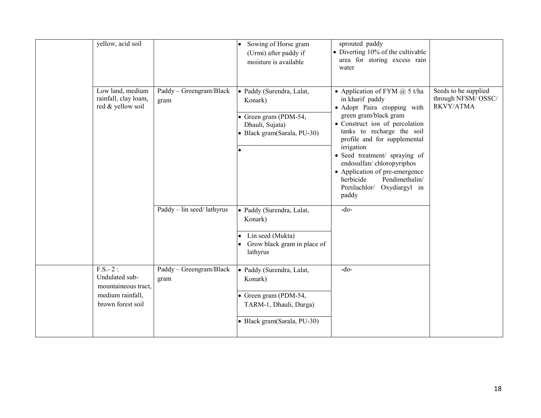|           | yellow, acid soil                                                              |                                 | Sowing of Horse gram<br>(Urmi) after paddy if<br>moisture is available                                                 | sprouted paddy<br>• Diverting 10% of the cultivable<br>area for storing excess rain<br>water                                                                                                                                                                                                                                                                                                         |                                                         |
|-----------|--------------------------------------------------------------------------------|---------------------------------|------------------------------------------------------------------------------------------------------------------------|------------------------------------------------------------------------------------------------------------------------------------------------------------------------------------------------------------------------------------------------------------------------------------------------------------------------------------------------------------------------------------------------------|---------------------------------------------------------|
|           | Low land, medium<br>rainfall, clay loam,<br>red & yellow soil                  | Paddy - Greengram/Black<br>gram | · Paddy (Surendra, Lalat,<br>Konark)<br>• Green gram (PDM-54,<br>Dhauli, Sujata)<br>• Black gram(Sarala, PU-30)        | • Application of FYM $(a)$ 5 t/ha<br>in kharif paddy<br>· Adopt Paira cropping with<br>green gram/black gram<br>• Construct ion of percolation<br>tanks to recharge the soil<br>profile and for supplemental<br>irrigation<br>· Seed treatment/ spraying of<br>endosulfan/chloropyriphos<br>• Application of pre-emergence<br>Pendimethalin/<br>herbicide<br>Pretilachlor/<br>Oxydiargyl in<br>paddy | Seeds to be supplied<br>through NFSM/OSSC/<br>RKVY/ATMA |
|           |                                                                                | Paddy – lin seed/ lathyrus      | · Paddy (Surendra, Lalat,<br>Konark)<br>Lin seed (Mukta)<br>Grow black gram in place of<br>lathyrus                    | $-do$                                                                                                                                                                                                                                                                                                                                                                                                |                                                         |
| $F.S.-2:$ | Undulated sub-<br>mountaineous tract,<br>medium rainfall,<br>brown forest soil | Paddy - Greengram/Black<br>gram | · Paddy (Surendra, Lalat,<br>Konark)<br>• Green gram (PDM-54,<br>TARM-1, Dhauli, Durga)<br>· Black gram(Sarala, PU-30) | $-do-$                                                                                                                                                                                                                                                                                                                                                                                               |                                                         |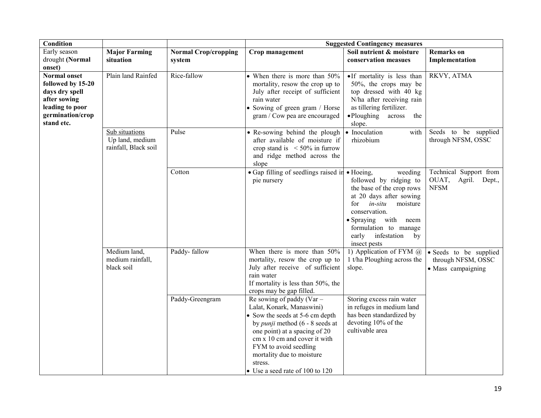| <b>Condition</b>                                                                                                                |                                                           |                                       | <b>Suggested Contingency measures</b>                                                                                                                                                                                                                                                                       |                                                                                                                                                                                                                                                 |                                                                    |  |
|---------------------------------------------------------------------------------------------------------------------------------|-----------------------------------------------------------|---------------------------------------|-------------------------------------------------------------------------------------------------------------------------------------------------------------------------------------------------------------------------------------------------------------------------------------------------------------|-------------------------------------------------------------------------------------------------------------------------------------------------------------------------------------------------------------------------------------------------|--------------------------------------------------------------------|--|
| Early season<br>drought (Normal<br>onset)                                                                                       | <b>Major Farming</b><br>situation                         | <b>Normal Crop/cropping</b><br>system | Crop management                                                                                                                                                                                                                                                                                             | Soil nutrient & moisture<br>conservation measues                                                                                                                                                                                                | <b>Remarks</b> on<br>Implementation                                |  |
| <b>Normal onset</b><br>followed by 15-20<br>days dry spell<br>after sowing<br>leading to poor<br>germination/crop<br>stand etc. | Plain land Rainfed                                        | Rice-fallow                           | • When there is more than 50%<br>mortality, resow the crop up to<br>July after receipt of sufficient<br>rain water<br>• Sowing of green gram / Horse<br>gram / Cow pea are encouraged                                                                                                                       | •If mortality is less than<br>50%, the crops may be<br>top dressed with 40 kg<br>N/ha after receiving rain<br>as tillering fertilizer.<br>$\bullet$ Ploughing<br>across<br>the<br>slope.                                                        | RKVY, ATMA                                                         |  |
|                                                                                                                                 | Sub situations<br>Up land, medium<br>rainfall, Black soil | Pulse                                 | • Re-sowing behind the plough<br>after available of moisture if<br>crop stand is $\leq 50\%$ in furrow<br>and ridge method across the<br>slope                                                                                                                                                              | • Inoculation<br>with<br>rhizobium                                                                                                                                                                                                              | Seeds to be supplied<br>through NFSM, OSSC                         |  |
|                                                                                                                                 |                                                           | Cotton                                | • Gap filling of seedlings raised in • Hoeing,<br>pie nursery                                                                                                                                                                                                                                               | weeding<br>followed by ridging to<br>the base of the crop rows<br>at 20 days after sowing<br>for<br>in-situ<br>moisture<br>conservation.<br>$\bullet$ Spraying<br>with neem<br>formulation to manage<br>early infestation<br>by<br>insect pests | Technical Support from<br>OUAT,<br>Agril. Dept.,<br><b>NFSM</b>    |  |
|                                                                                                                                 | Medium land,<br>medium rainfall,<br>black soil            | Paddy-fallow                          | When there is more than $50\%$<br>mortality, resow the crop up to<br>July after receive of sufficient<br>rain water<br>If mortality is less than 50%, the<br>crops may be gap filled.                                                                                                                       | 1) Application of FYM $(a)$<br>1 t/ha Ploughing across the<br>slope.                                                                                                                                                                            | • Seeds to be supplied<br>through NFSM, OSSC<br>• Mass campaigning |  |
|                                                                                                                                 |                                                           | Paddy-Greengram                       | Re sowing of paddy ( $Var -$<br>Lalat, Konark, Manaswini)<br>• Sow the seeds at 5-6 cm depth<br>by <i>punji</i> method (6 - 8 seeds at<br>one point) at a spacing of 20<br>cm x 10 cm and cover it with<br>FYM to avoid seedling<br>mortality due to moisture<br>stress.<br>• Use a seed rate of 100 to 120 | Storing excess rain water<br>in refuges in medium land<br>has been standardized by<br>devoting 10% of the<br>cultivable area                                                                                                                    |                                                                    |  |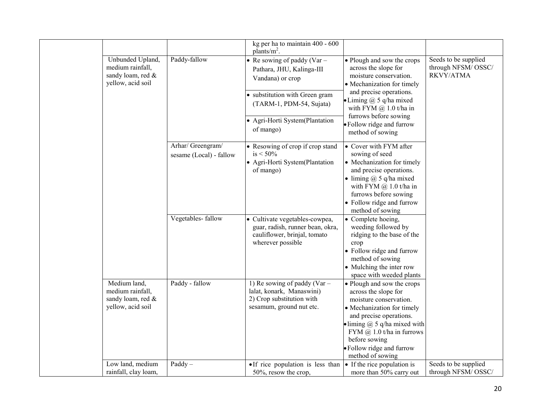|                                                                                |                                              | kg per ha to maintain 400 - 600<br>plants/ $m^2$ .                                                                      |                                                                                                                                                                                                                                                                                  |                                                         |
|--------------------------------------------------------------------------------|----------------------------------------------|-------------------------------------------------------------------------------------------------------------------------|----------------------------------------------------------------------------------------------------------------------------------------------------------------------------------------------------------------------------------------------------------------------------------|---------------------------------------------------------|
| Unbunded Upland,<br>medium rainfall,<br>sandy loam, red &<br>yellow, acid soil | Paddy-fallow                                 | • Re sowing of paddy (Var $-$<br>Pathara, JHU, Kalinga-III<br>Vandana) or crop                                          | • Plough and sow the crops<br>across the slope for<br>moisture conservation.<br>• Mechanization for timely                                                                                                                                                                       | Seeds to be supplied<br>through NFSM/OSSC/<br>RKVY/ATMA |
|                                                                                |                                              | • substitution with Green gram<br>(TARM-1, PDM-54, Sujata)                                                              | and precise operations.<br>$\bullet$ Liming $@$ 5 q/ha mixed<br>with FYM $@1.0$ t/ha in                                                                                                                                                                                          |                                                         |
|                                                                                |                                              | • Agri-Horti System(Plantation<br>of mango)                                                                             | furrows before sowing<br>· Follow ridge and furrow<br>method of sowing                                                                                                                                                                                                           |                                                         |
|                                                                                | Arhar/ Greengram/<br>sesame (Local) - fallow | • Resowing of crop if crop stand<br>$is < 50\%$<br>• Agri-Horti System(Plantation<br>of mango)                          | • Cover with FYM after<br>sowing of seed<br>• Mechanization for timely<br>and precise operations.<br>• liming $\omega$ 5 q/ha mixed<br>with FYM $@$ 1.0 t/ha in<br>furrows before sowing<br>• Follow ridge and furrow<br>method of sowing                                        |                                                         |
|                                                                                | Vegetables-fallow                            | • Cultivate vegetables-cowpea,<br>guar, radish, runner bean, okra,<br>cauliflower, brinjal, tomato<br>wherever possible | • Complete hoeing,<br>weeding followed by<br>ridging to the base of the<br>crop<br>• Follow ridge and furrow<br>method of sowing<br>• Mulching the inter row<br>space with weeded plants                                                                                         |                                                         |
| Medium land,<br>medium rainfall,<br>sandy loam, red &<br>yellow, acid soil     | Paddy - fallow                               | 1) Re sowing of paddy (Var $-$<br>lalat, konark, Manaswini)<br>2) Crop substitution with<br>sesamum, ground nut etc.    | • Plough and sow the crops<br>across the slope for<br>moisture conservation.<br>• Mechanization for timely<br>and precise operations.<br>liming $\omega$ 5 q/ha mixed with<br>FYM $\omega$ 1.0 t/ha in furrows<br>before sowing<br>· Follow ridge and furrow<br>method of sowing |                                                         |
| Low land, medium<br>rainfall, clay loam,                                       | $Paddy -$                                    | • If rice population is less than<br>50%, resow the crop,                                                               | • If the rice population is<br>more than 50% carry out                                                                                                                                                                                                                           | Seeds to be supplied<br>through NFSM/OSSC/              |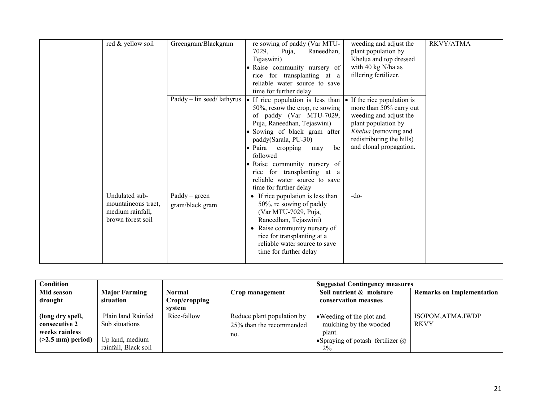| red & yellow soil<br>Undulated sub-<br>mountaineous tract, | Greengram/Blackgram<br>$\text{Paddy} - \text{lin seed}/\text{lathyrus}$<br>$Paddy - green$<br>gram/black gram | re sowing of paddy (Var MTU-<br>7029,<br>Puja,<br>Raneedhan,<br>Tejaswini)<br>· Raise community nursery of<br>for transplanting at a<br>rice<br>reliable water source to save<br>time for further delay<br>• If rice population is less than<br>$50\%$ , resow the crop, resowing<br>of paddy (Var MTU-7029,<br>Puja, Raneedhan, Tejaswini)<br>• Sowing of black gram after<br>paddy(Sarala, PU-30)<br>• Paira<br>cropping<br>be<br>may<br>followed<br>· Raise community nursery of<br>for transplanting at a<br>rice<br>reliable water source to save<br>time for further delay<br>• If rice population is less than<br>50%, re sowing of paddy | weeding and adjust the<br>plant population by<br>Khelua and top dressed<br>with 40 kg N/ha as<br>tillering fertilizer.<br>If the rice population is<br>more than 50% carry out<br>weeding and adjust the<br>plant population by<br>Khelua (removing and<br>redistributing the hills)<br>and clonal propagation.<br>$-do$ | RKVY/ATMA |
|------------------------------------------------------------|---------------------------------------------------------------------------------------------------------------|--------------------------------------------------------------------------------------------------------------------------------------------------------------------------------------------------------------------------------------------------------------------------------------------------------------------------------------------------------------------------------------------------------------------------------------------------------------------------------------------------------------------------------------------------------------------------------------------------------------------------------------------------|--------------------------------------------------------------------------------------------------------------------------------------------------------------------------------------------------------------------------------------------------------------------------------------------------------------------------|-----------|
| medium rainfall,<br>brown forest soil                      |                                                                                                               | (Var MTU-7029, Puja,<br>Raneedhan, Tejaswini)<br>Raise community nursery of<br>$\bullet$<br>rice for transplanting at a<br>reliable water source to save<br>time for further delay                                                                                                                                                                                                                                                                                                                                                                                                                                                               |                                                                                                                                                                                                                                                                                                                          |           |

| Condition                                                                   |                                                                                 |                                   | <b>Suggested Contingency measures</b>                         |                                                                                                                    |                                   |  |
|-----------------------------------------------------------------------------|---------------------------------------------------------------------------------|-----------------------------------|---------------------------------------------------------------|--------------------------------------------------------------------------------------------------------------------|-----------------------------------|--|
| Mid season<br>drought                                                       | <b>Major Farming</b><br>situation                                               | Normal<br>Crop/cropping<br>system | Crop management                                               | Soil nutrient & moisture<br>conservation measues                                                                   | <b>Remarks on Implementation</b>  |  |
| (long dry spell,<br>consecutive 2<br>weeks rainless<br>$($ >2.5 mm) period) | Plain land Rainfed<br>Sub situations<br>Up land, medium<br>rainfall, Black soil | Rice-fallow                       | Reduce plant population by<br>25% than the recommended<br>no. | • Weeding of the plot and<br>mulching by the wooded<br>plant.<br>• Spraying of potash fertilizer $\omega$<br>$2\%$ | ISOPOM, ATMA, IWDP<br><b>RKVY</b> |  |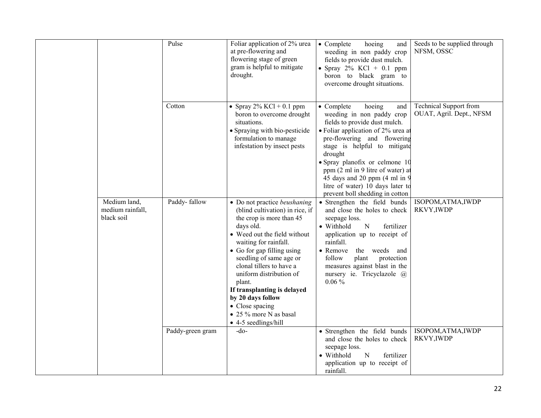|                                                | Pulse            | Foliar application of $2\%$ urea<br>at pre-flowering and<br>flowering stage of green<br>gram is helpful to mitigate<br>drought.                                                                                                                                                                                                                                                                                              | • Complete<br>hoeing<br>and<br>weeding in non paddy crop<br>fields to provide dust mulch.<br>• Spray $2\%$ KCl + 0.1 ppm<br>boron to black gram to<br>overcome drought situations.                                                                                                                                                                                                               | Seeds to be supplied through<br>NFSM, OSSC                |
|------------------------------------------------|------------------|------------------------------------------------------------------------------------------------------------------------------------------------------------------------------------------------------------------------------------------------------------------------------------------------------------------------------------------------------------------------------------------------------------------------------|--------------------------------------------------------------------------------------------------------------------------------------------------------------------------------------------------------------------------------------------------------------------------------------------------------------------------------------------------------------------------------------------------|-----------------------------------------------------------|
|                                                | Cotton           | • Spray $2\%$ KCl + 0.1 ppm<br>boron to overcome drought<br>situations.<br>• Spraying with bio-pesticide<br>formulation to manage<br>infestation by insect pests                                                                                                                                                                                                                                                             | $\bullet$ Complete<br>hoeing<br>and<br>weeding in non paddy crop<br>fields to provide dust mulch.<br>• Foliar application of 2% urea at<br>pre-flowering and flowering<br>stage is helpful to mitigate<br>drought<br>• Spray planofix or celmone 10<br>ppm (2 ml in 9 litre of water) at<br>45 days and 20 ppm (4 ml in 9<br>litre of water) 10 days later to<br>prevent boll shedding in cotton | <b>Technical Support from</b><br>OUAT, Agril. Dept., NFSM |
| Medium land,<br>medium rainfall,<br>black soil | Paddy-fallow     | • Do not practice beushaning<br>(blind cultivation) in rice, if<br>the crop is more than 45<br>days old.<br>• Weed out the field without<br>waiting for rainfall.<br>• Go for gap filling using<br>seedling of same age or<br>clonal tillers to have a<br>uniform distribution of<br>plant.<br>If transplanting is delayed<br>by 20 days follow<br>• Close spacing<br>• 25 % more N as basal<br>$\bullet$ 4-5 seedlings/hill | • Strengthen the field bunds<br>and close the holes to check<br>seepage loss.<br>• Withhold<br>fertilizer<br>N<br>application up to receipt of<br>rainfall.<br>• Remove<br>the weeds and<br>follow<br>plant<br>protection<br>measures against blast in the<br>nursery ie. Tricyclazole @<br>$0.06\%$                                                                                             | ISOPOM, ATMA, IWDP<br>RKVY, IWDP                          |
|                                                | Paddy-green gram | $-do$                                                                                                                                                                                                                                                                                                                                                                                                                        | • Strengthen the field bunds<br>and close the holes to check<br>seepage loss.<br>• Withhold<br>$\mathbf N$<br>fertilizer<br>application up to receipt of<br>rainfall.                                                                                                                                                                                                                            | ISOPOM, ATMA, IWDP<br>RKVY, IWDP                          |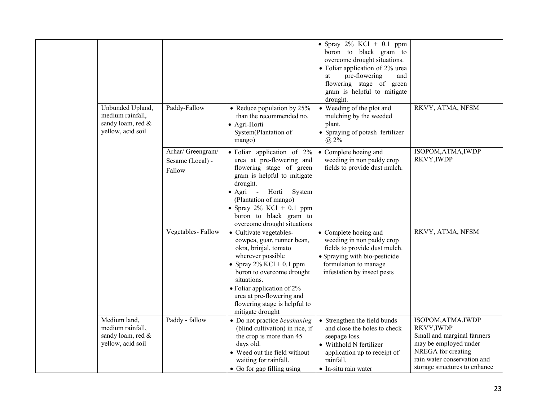|                                                                                |                                                 |                                                                                                                                                                                                                                                                                                        | • Spray $2\%$ KCl + 0.1 ppm<br>boron to black gram to<br>overcome drought situations.<br>• Foliar application of 2% urea<br>pre-flowering<br>and<br>at<br>flowering stage of green<br>gram is helpful to mitigate<br>drought. |                                                                                                                                                                               |
|--------------------------------------------------------------------------------|-------------------------------------------------|--------------------------------------------------------------------------------------------------------------------------------------------------------------------------------------------------------------------------------------------------------------------------------------------------------|-------------------------------------------------------------------------------------------------------------------------------------------------------------------------------------------------------------------------------|-------------------------------------------------------------------------------------------------------------------------------------------------------------------------------|
| Unbunded Upland,<br>medium rainfall,<br>sandy loam, red &<br>yellow, acid soil | Paddy-Fallow                                    | • Reduce population by $25%$<br>than the recommended no.<br>• Agri-Horti<br>System(Plantation of<br>mango)                                                                                                                                                                                             | • Weeding of the plot and<br>mulching by the weeded<br>plant.<br>• Spraying of potash fertilizer<br>(a) 2%                                                                                                                    | RKVY, ATMA, NFSM                                                                                                                                                              |
|                                                                                | Arhar/ Greengram/<br>Sesame (Local) -<br>Fallow | · Foliar application of 2%<br>urea at pre-flowering and<br>flowering stage of green<br>gram is helpful to mitigate<br>drought.<br>$\bullet$ Agri<br>Horti<br>System<br>$\blacksquare$<br>(Plantation of mango)<br>• Spray $2\%$ KCl + 0.1 ppm<br>boron to black gram to<br>overcome drought situations | • Complete hoeing and<br>weeding in non paddy crop<br>fields to provide dust mulch.                                                                                                                                           | ISOPOM, ATMA, IWDP<br>RKVY, IWDP                                                                                                                                              |
|                                                                                | Vegetables-Fallow                               | • Cultivate vegetables-<br>cowpea, guar, runner bean,<br>okra, brinjal, tomato<br>wherever possible<br>• Spray $2\%$ KCl + 0.1 ppm<br>boron to overcome drought<br>situations.<br>$\bullet$ Foliar application of 2%<br>urea at pre-flowering and<br>flowering stage is helpful to<br>mitigate drought | • Complete hoeing and<br>weeding in non paddy crop<br>fields to provide dust mulch.<br>• Spraying with bio-pesticide<br>formulation to manage<br>infestation by insect pests                                                  | RKVY, ATMA, NFSM                                                                                                                                                              |
| Medium land,<br>medium rainfall,<br>sandy loam, red &<br>yellow, acid soil     | Paddy - fallow                                  | • Do not practice beushaning<br>(blind cultivation) in rice, if<br>the crop is more than 45<br>days old.<br>• Weed out the field without<br>waiting for rainfall.<br>• Go for gap filling using                                                                                                        | • Strengthen the field bunds<br>and close the holes to check<br>seepage loss.<br>• Withhold N fertilizer<br>application up to receipt of<br>rainfall.<br>• In-situ rain water                                                 | ISOPOM, ATMA, IWDP<br>RKVY, IWDP<br>Small and marginal farmers<br>may be employed under<br>NREGA for creating<br>rain water conservation and<br>storage structures to enhance |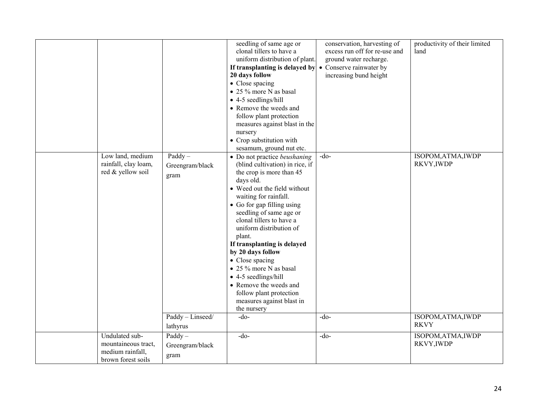|                                                                                 |                                                          | seedling of same age or<br>clonal tillers to have a<br>uniform distribution of plant.<br>If transplanting is delayed by<br>20 days follow<br>• Close spacing<br>• 25 % more N as basal<br>• 4-5 seedlings/hill<br>• Remove the weeds and<br>follow plant protection<br>measures against blast in the<br>nursery<br>• Crop substitution with<br>sesamum, ground nut etc.                                                                                                                                                                 | conservation, harvesting of<br>excess run off for re-use and<br>ground water recharge.<br>• Conserve rainwater by<br>increasing bund height | productivity of their limited<br>land                  |
|---------------------------------------------------------------------------------|----------------------------------------------------------|-----------------------------------------------------------------------------------------------------------------------------------------------------------------------------------------------------------------------------------------------------------------------------------------------------------------------------------------------------------------------------------------------------------------------------------------------------------------------------------------------------------------------------------------|---------------------------------------------------------------------------------------------------------------------------------------------|--------------------------------------------------------|
| Low land, medium<br>rainfall, clay loam,<br>red & yellow soil                   | $Paddy -$<br>Greengram/black<br>gram<br>Paddy - Linseed/ | • Do not practice beushaning<br>(blind cultivation) in rice, if<br>the crop is more than 45<br>days old.<br>• Weed out the field without<br>waiting for rainfall.<br>• Go for gap filling using<br>seedling of same age or<br>clonal tillers to have a<br>uniform distribution of<br>plant.<br>If transplanting is delayed<br>by 20 days follow<br>• Close spacing<br>• 25 % more N as basal<br>$\bullet$ 4-5 seedlings/hill<br>• Remove the weeds and<br>follow plant protection<br>measures against blast in<br>the nursery<br>$-do-$ | $-do-$<br>$-do$                                                                                                                             | ISOPOM, ATMA, IWDP<br>RKVY, IWDP<br>ISOPOM, ATMA, IWDP |
|                                                                                 | lathyrus                                                 |                                                                                                                                                                                                                                                                                                                                                                                                                                                                                                                                         |                                                                                                                                             | <b>RKVY</b>                                            |
| Undulated sub-<br>mountaineous tract,<br>medium rainfall,<br>brown forest soils | $Paddy -$<br>Greengram/black<br>gram                     | $-do$                                                                                                                                                                                                                                                                                                                                                                                                                                                                                                                                   | $-do-$                                                                                                                                      | ISOPOM, ATMA, IWDP<br>RKVY, IWDP                       |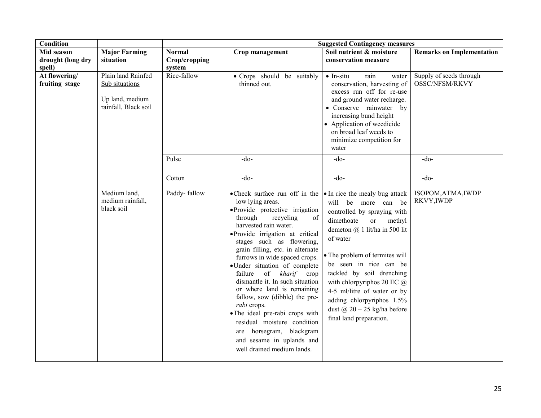| <b>Condition</b>                |                                                                                 |                                |                                                                                                                                                                                                                                                                                                                                                                                                                                                                                                                                                                                                                            | <b>Suggested Contingency measures</b>                                                                                                                                                                                                                                                                                                                                                                                           |                                           |
|---------------------------------|---------------------------------------------------------------------------------|--------------------------------|----------------------------------------------------------------------------------------------------------------------------------------------------------------------------------------------------------------------------------------------------------------------------------------------------------------------------------------------------------------------------------------------------------------------------------------------------------------------------------------------------------------------------------------------------------------------------------------------------------------------------|---------------------------------------------------------------------------------------------------------------------------------------------------------------------------------------------------------------------------------------------------------------------------------------------------------------------------------------------------------------------------------------------------------------------------------|-------------------------------------------|
| Mid season<br>drought (long dry | <b>Major Farming</b><br>situation                                               | <b>Normal</b><br>Crop/cropping | Crop management                                                                                                                                                                                                                                                                                                                                                                                                                                                                                                                                                                                                            | Soil nutrient & moisture<br>conservation measure                                                                                                                                                                                                                                                                                                                                                                                | <b>Remarks on Implementation</b>          |
| spell)                          |                                                                                 | system                         |                                                                                                                                                                                                                                                                                                                                                                                                                                                                                                                                                                                                                            |                                                                                                                                                                                                                                                                                                                                                                                                                                 |                                           |
| At flowering/<br>fruiting stage | Plain land Rainfed<br>Sub situations<br>Up land, medium<br>rainfall, Black soil | Rice-fallow                    | • Crops should be suitably<br>thinned out.                                                                                                                                                                                                                                                                                                                                                                                                                                                                                                                                                                                 | $\bullet$ In-situ<br>rain<br>water<br>conservation, harvesting of<br>excess run off for re-use<br>and ground water recharge.<br>• Conserve rainwater by<br>increasing bund height<br>• Application of weedicide<br>on broad leaf weeds to<br>minimize competition for<br>water                                                                                                                                                  | Supply of seeds through<br>OSSC/NFSM/RKVY |
|                                 |                                                                                 | Pulse                          | $-do-$                                                                                                                                                                                                                                                                                                                                                                                                                                                                                                                                                                                                                     | $-do-$                                                                                                                                                                                                                                                                                                                                                                                                                          | $-do$                                     |
|                                 |                                                                                 | Cotton                         | $-do-$                                                                                                                                                                                                                                                                                                                                                                                                                                                                                                                                                                                                                     | $-do$                                                                                                                                                                                                                                                                                                                                                                                                                           | $-do$                                     |
|                                 | Medium land,<br>medium rainfall,<br>black soil                                  | Paddy-fallow                   | • Check surface run off in the<br>low lying areas.<br>· Provide protective irrigation<br>through<br>recycling<br>of<br>harvested rain water.<br>· Provide irrigation at critical<br>stages such as flowering,<br>grain filling, etc. in alternate<br>furrows in wide spaced crops.<br>· Under situation of complete<br>of kharif crop<br>failure<br>dismantle it. In such situation<br>or where land is remaining<br>fallow, sow (dibble) the pre-<br>rabi crops.<br>• The ideal pre-rabi crops with<br>residual moisture condition<br>are horsegram, blackgram<br>and sesame in uplands and<br>well drained medium lands. | • In rice the mealy bug attack<br>will be more can be<br>controlled by spraying with<br>dimethoate<br><b>or</b><br>methyl<br>demeton @ 1 lit/ha in 500 lit<br>of water<br>• The problem of termites will<br>be seen in rice can be<br>tackled by soil drenching<br>with chlorpyriphos 20 EC $@$<br>4-5 ml/litre of water or by<br>adding chlorpyriphos $1.5\%$<br>dust $\omega$ 20 - 25 kg/ha before<br>final land preparation. | ISOPOM, ATMA, IWDP<br>RKVY, IWDP          |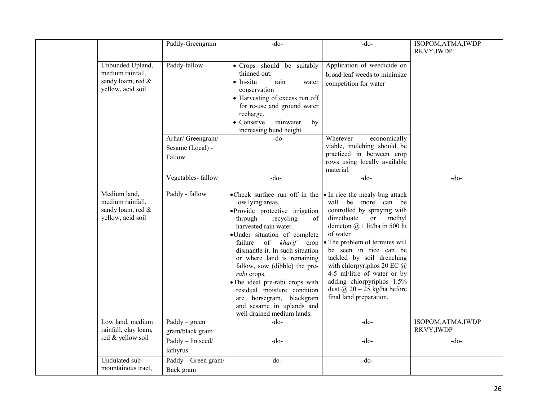|                                                                                | Paddy-Greengram                                 | $-do-$                                                                                                                                                                                                                                                                                                                                                                                                                                                                                  | $-do$ -                                                                                                                                                                                                                                                                                                                                                                                                                              | ISOPOM, ATMA, IWDP<br>RKVY, IWDP |
|--------------------------------------------------------------------------------|-------------------------------------------------|-----------------------------------------------------------------------------------------------------------------------------------------------------------------------------------------------------------------------------------------------------------------------------------------------------------------------------------------------------------------------------------------------------------------------------------------------------------------------------------------|--------------------------------------------------------------------------------------------------------------------------------------------------------------------------------------------------------------------------------------------------------------------------------------------------------------------------------------------------------------------------------------------------------------------------------------|----------------------------------|
| Unbunded Upland,<br>medium rainfall,<br>sandy loam, red &<br>yellow, acid soil | Paddy-fallow                                    | • Crops should be suitably<br>thinned out.<br>$\bullet$ In-situ<br>rain<br>water<br>conservation<br>• Harvesting of excess run off<br>for re-use and ground water<br>recharge.<br>• Conserve<br>rainwater<br>by<br>increasing bund height                                                                                                                                                                                                                                               | Application of weedicide on<br>broad leaf weeds to minimize<br>competition for water                                                                                                                                                                                                                                                                                                                                                 |                                  |
|                                                                                | Arhar/ Greengram/<br>Sesame (Local) -<br>Fallow | $-do-$                                                                                                                                                                                                                                                                                                                                                                                                                                                                                  | Wherever<br>economically<br>viable, mulching should be<br>practiced in between crop<br>rows using locally available<br>material.                                                                                                                                                                                                                                                                                                     |                                  |
|                                                                                | Vegetables-fallow                               | $-do$                                                                                                                                                                                                                                                                                                                                                                                                                                                                                   | $-do-$                                                                                                                                                                                                                                                                                                                                                                                                                               | $-do$                            |
| Medium land,<br>medium rainfall,<br>sandy loam, red &<br>yellow, acid soil     | Paddy - fallow                                  | • Check surface run off in the<br>low lying areas.<br>• Provide protective irrigation<br>through<br>recycling<br>of<br>harvested rain water.<br>· Under situation of complete<br>of kharif<br>failure<br>crop<br>dismantle it. In such situation<br>or where land is remaining<br>fallow, sow (dibble) the pre-<br>rabi crops.<br>• The ideal pre-rabi crops with<br>residual moisture condition<br>are horsegram, blackgram<br>and sesame in uplands and<br>well drained medium lands. | • In rice the mealy bug attack<br>will be more can be<br>controlled by spraying with<br>dimethoate<br><sub>or</sub><br>methyl<br>demeton $(a)$ 1 lit/ha in 500 lit<br>of water<br>• The problem of termites will<br>be seen in rice can be<br>tackled by soil drenching<br>with chlorpyriphos 20 EC $@$<br>4-5 ml/litre of water or by<br>adding chlorpyriphos 1.5%<br>dust $\omega$ 20 - 25 kg/ha before<br>final land preparation. |                                  |
| Low land, medium<br>rainfall, clay loam,                                       | $Paddy - green$<br>gram/black gram              | $-do-$                                                                                                                                                                                                                                                                                                                                                                                                                                                                                  | $-do-$                                                                                                                                                                                                                                                                                                                                                                                                                               | ISOPOM, ATMA, IWDP<br>RKVY, IWDP |
| red & yellow soil                                                              | Paddy - lin seed/<br>lathyrus                   | $-do-$                                                                                                                                                                                                                                                                                                                                                                                                                                                                                  | $-do-$                                                                                                                                                                                                                                                                                                                                                                                                                               | $-do-$                           |
| Undulated sub-<br>mountainous tract,                                           | Paddy - Green gram/<br>Back gram                | do-                                                                                                                                                                                                                                                                                                                                                                                                                                                                                     | $-do-$                                                                                                                                                                                                                                                                                                                                                                                                                               |                                  |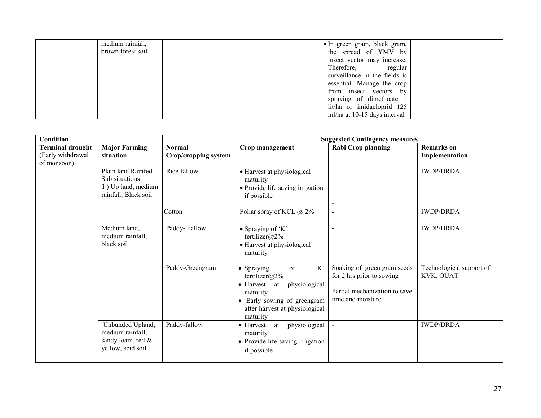| medium rainfall,  | • In green gram, black gram,  |  |
|-------------------|-------------------------------|--|
| brown forest soil | the spread of YMV by          |  |
|                   | insect vector may increase.   |  |
|                   | Therefore, regular            |  |
|                   | surveillance in the fields is |  |
|                   | essential. Manage the crop    |  |
|                   | from insect vectors by        |  |
|                   | spraying of dimethoate 1      |  |
|                   | lit/ha or imidacloprid 125    |  |
|                   | ml/ha at 10-15 days interval  |  |

| <b>Condition</b>                                            |                                                                                    |                                       |                                                                                                                                                                                 | <b>Suggested Contingency measures</b>                                                                          |                                       |
|-------------------------------------------------------------|------------------------------------------------------------------------------------|---------------------------------------|---------------------------------------------------------------------------------------------------------------------------------------------------------------------------------|----------------------------------------------------------------------------------------------------------------|---------------------------------------|
| <b>Terminal drought</b><br>(Early withdrawal<br>of monsoon) | <b>Major Farming</b><br>situation                                                  | <b>Normal</b><br>Crop/cropping system | Crop management                                                                                                                                                                 | Rabi Crop planning                                                                                             | <b>Remarks</b> on<br>Implementation   |
|                                                             | Plain land Rainfed<br>Sub situations<br>1) Up land, medium<br>rainfall, Black soil | Rice-fallow                           | • Harvest at physiological<br>maturity<br>• Provide life saving irrigation<br>if possible                                                                                       | $\blacksquare$                                                                                                 | <b>IWDP/DRDA</b>                      |
|                                                             |                                                                                    | Cotton                                | Foliar spray of KCL @ 2%                                                                                                                                                        | $\blacksquare$                                                                                                 | <b>IWDP/DRDA</b>                      |
|                                                             | Medium land,<br>medium rainfall,<br>black soil                                     | Paddy-Fallow                          | • Spraying of 'K'<br>fertilizer@2%<br>• Harvest at physiological<br>maturity                                                                                                    | $\sim$                                                                                                         | <b>IWDP/DRDA</b>                      |
|                                                             |                                                                                    | Paddy-Greengram                       | $\lq K$<br>of<br>• Spraying<br>fertilizer@2%<br>$\bullet$ Harvest<br>physiological<br>at<br>maturity<br>Early sowing of greengram<br>after harvest at physiological<br>maturity | Soaking of green gram seeds<br>for 2 hrs prior to sowing<br>Partial mechanization to save<br>time and moisture | Technological support of<br>KVK, OUAT |
|                                                             | Unbunded Upland,<br>medium rainfall,<br>sandy loam, red &<br>yellow, acid soil     | Paddy-fallow                          | physiological<br>$\bullet$ Harvest<br>at<br>maturity<br>• Provide life saving irrigation<br>if possible                                                                         |                                                                                                                | <b>IWDP/DRDA</b>                      |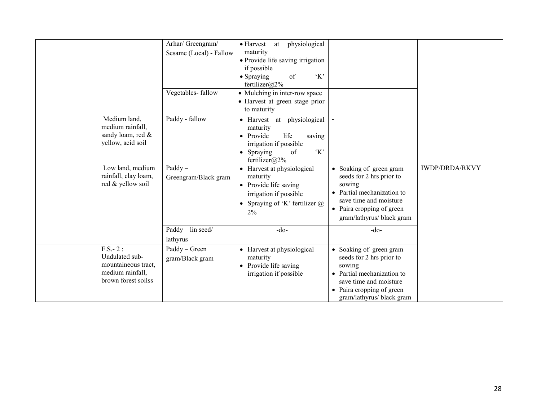|  |                                                                                               | Arhar/ Greengram/<br>Sesame (Local) - Fallow | physiological<br>$\bullet$ Harvest<br>at<br>maturity<br>· Provide life saving irrigation<br>if possible<br>K'<br>of<br>• Spraying<br>fertilizer@2% |                                                                                                                                                                               |                       |
|--|-----------------------------------------------------------------------------------------------|----------------------------------------------|----------------------------------------------------------------------------------------------------------------------------------------------------|-------------------------------------------------------------------------------------------------------------------------------------------------------------------------------|-----------------------|
|  |                                                                                               | Vegetables-fallow                            | • Mulching in inter-row space<br>• Harvest at green stage prior<br>to maturity                                                                     |                                                                                                                                                                               |                       |
|  | Medium land,<br>medium rainfall,<br>sandy loam, red &<br>yellow, acid soil                    | Paddy - fallow                               | physiological<br>• Harvest at<br>maturity<br>• Provide<br>life<br>saving<br>irrigation if possible<br>K<br>• Spraying<br>of<br>fertilizer@2%       |                                                                                                                                                                               |                       |
|  | Low land, medium<br>rainfall, clay loam,<br>red & yellow soil                                 | $Paddy -$<br>Greengram/Black gram            | • Harvest at physiological<br>maturity<br>• Provide life saving<br>irrigation if possible<br>• Spraying of 'K' fertilizer $\omega$<br>2%           | • Soaking of green gram<br>seeds for 2 hrs prior to<br>sowing<br>Partial mechanization to<br>save time and moisture<br>• Paira cropping of green<br>gram/lathyrus/ black gram | <b>IWDP/DRDA/RKVY</b> |
|  |                                                                                               | Paddy - lin seed/<br>lathyrus                | $-do-$                                                                                                                                             | $-do$                                                                                                                                                                         |                       |
|  | $F.S.-2:$<br>Undulated sub-<br>mountaineous tract,<br>medium rainfall,<br>brown forest soilss | Paddy - Green<br>gram/Black gram             | • Harvest at physiological<br>maturity<br>• Provide life saving<br>irrigation if possible                                                          | • Soaking of green gram<br>seeds for 2 hrs prior to<br>sowing<br>Partial mechanization to<br>save time and moisture<br>• Paira cropping of green<br>gram/lathyrus/ black gram |                       |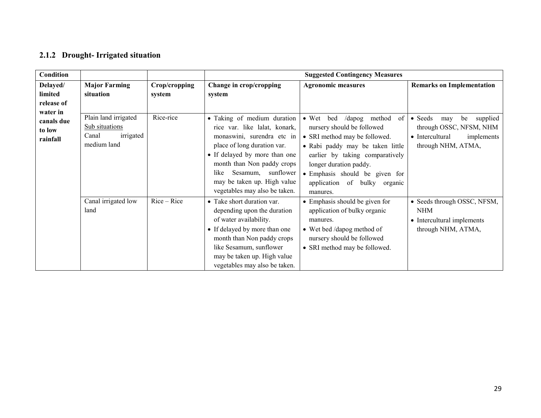## 2.1.2 Drought- Irrigated situation

| <b>Condition</b>                             |                                                                             |                         |                                                                                                                                                                                                                                                                                           | <b>Suggested Contingency Measures</b>                                                                                                                                                                                                                                                        |                                                                                                                            |
|----------------------------------------------|-----------------------------------------------------------------------------|-------------------------|-------------------------------------------------------------------------------------------------------------------------------------------------------------------------------------------------------------------------------------------------------------------------------------------|----------------------------------------------------------------------------------------------------------------------------------------------------------------------------------------------------------------------------------------------------------------------------------------------|----------------------------------------------------------------------------------------------------------------------------|
| Delayed/<br>limited<br>release of            | <b>Major Farming</b><br>situation                                           | Crop/cropping<br>system | Change in crop/cropping<br>system                                                                                                                                                                                                                                                         | <b>Agronomic measures</b>                                                                                                                                                                                                                                                                    | <b>Remarks on Implementation</b>                                                                                           |
| water in<br>canals due<br>to low<br>rainfall | Plain land irrigated<br>Sub situations<br>irrigated<br>Canal<br>medium land | Rice-rice               | • Taking of medium duration<br>rice var. like lalat, konark,<br>monaswini, surendra etc in<br>place of long duration var.<br>• If delayed by more than one<br>month than Non paddy crops<br>sunflower<br>Sesamum,<br>like<br>may be taken up. High value<br>vegetables may also be taken. | $\bullet$ Wet<br>method<br>of<br>bed<br>/dapog<br>nursery should be followed<br>• SRI method may be followed.<br>· Rabi paddy may be taken little<br>earlier by taking comparatively<br>longer duration paddy.<br>• Emphasis should be given for<br>application of bulky organic<br>manures. | $\bullet$ Seeds<br>supplied<br>be<br>may<br>through OSSC, NFSM, NHM<br>• Intercultural<br>implements<br>through NHM, ATMA, |
|                                              | Canal irrigated low<br>land                                                 | $Rice - Rice$           | • Take short duration var.<br>depending upon the duration<br>of water availability.<br>• If delayed by more than one<br>month than Non paddy crops<br>like Sesamum, sunflower<br>may be taken up. High value<br>vegetables may also be taken.                                             | • Emphasis should be given for<br>application of bulky organic<br>manures.<br>• Wet bed /dapog method of<br>nursery should be followed<br>• SRI method may be followed.                                                                                                                      | • Seeds through OSSC, NFSM,<br><b>NHM</b><br>• Intercultural implements<br>through NHM, ATMA,                              |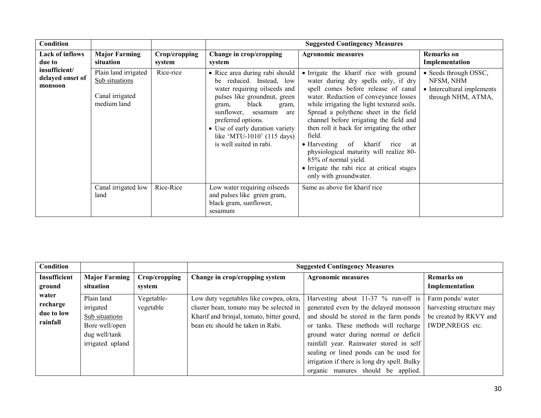| <b>Condition</b>                             |                                                                          |                         |                                                                                                                                                                                                                                                                                                          | <b>Suggested Contingency Measures</b>                                                                                                                                                                                                                                                                                                                                                                                                                                                                                                                   |                                                                                        |
|----------------------------------------------|--------------------------------------------------------------------------|-------------------------|----------------------------------------------------------------------------------------------------------------------------------------------------------------------------------------------------------------------------------------------------------------------------------------------------------|---------------------------------------------------------------------------------------------------------------------------------------------------------------------------------------------------------------------------------------------------------------------------------------------------------------------------------------------------------------------------------------------------------------------------------------------------------------------------------------------------------------------------------------------------------|----------------------------------------------------------------------------------------|
| <b>Lack of inflows</b><br>due to             | <b>Major Farming</b><br>situation                                        | Crop/cropping<br>system | Change in crop/cropping<br>system                                                                                                                                                                                                                                                                        | <b>Agronomic measures</b>                                                                                                                                                                                                                                                                                                                                                                                                                                                                                                                               | <b>Remarks</b> on<br>Implementation                                                    |
| insufficient/<br>delayed onset of<br>monsoon | Plain land irrigated<br>Sub situations<br>Canal irrigated<br>medium land | Rice-rice               | • Rice area during rabi should<br>reduced. Instead, low<br>be<br>water requiring oilseeds and<br>pulses like ground nut, green<br>black<br>gram,<br>gram,<br>sunflower, sesamum<br>are<br>preferred options.<br>• Use of early duration variety<br>like 'MTU-1010' (115 days)<br>is well suited in rabi. | • Irrigate the kharif rice with ground<br>water during dry spells only, if dry<br>spell comes before release of canal<br>water. Reduction of conveyance losses<br>while irrigating the light textured soils.<br>Spread a polythene sheet in the field<br>channel before irrigating the field and<br>then roll it back for irrigating the other<br>field.<br>of kharif<br>$\bullet$ Harvesting<br>rice<br>at<br>physiological maturity will realize 80-<br>85% of normal yield.<br>• Irrigate the rabi rice at critical stages<br>only with groundwater. | • Seeds through OSSC,<br>NFSM, NHM<br>• Intercultural implements<br>through NHM, ATMA, |
|                                              | Canal irrigated low<br>land                                              | Rice-Rice               | Low water requiring oilseeds<br>and pulses like green gram,<br>black gram, sunflower,<br>sesamum                                                                                                                                                                                                         | Same as above for kharif rice                                                                                                                                                                                                                                                                                                                                                                                                                                                                                                                           |                                                                                        |

| <b>Condition</b> |                      |               |                                           | <b>Suggested Contingency Measures</b>        |                          |
|------------------|----------------------|---------------|-------------------------------------------|----------------------------------------------|--------------------------|
| Insufficient     | <b>Major Farming</b> | Crop/cropping | Change in crop/cropping system            | <b>Agronomic measures</b>                    | <b>Remarks</b> on        |
| ground           | situation            | system        |                                           |                                              | Implementation           |
| water            | Plain land           | Vegetable-    | Low duty vegetables like cowpea, okra,    | Harvesting about 11-37 % run-off is          | Farm ponds/water         |
| recharge         | irrigated            | vegetable     | cluster bean, tomato may be selected in   | generated even by the delayed monsoon        | harvesting structure may |
| due to low       | Sub situations       |               | Kharif and brinjal, tomato, bitter gourd, | and should be stored in the farm ponds       | be created by RKVY and   |
| rainfall         | Bore well/open       |               | bean etc should be taken in Rabi.         | or tanks. These methods will recharge        | IWDP, NREGS etc.         |
|                  | dug well/tank        |               |                                           | ground water during normal or deficit        |                          |
|                  | irrigated upland     |               |                                           | rainfall year. Rainwater stored in self      |                          |
|                  |                      |               |                                           | sealing or lined ponds can be used for       |                          |
|                  |                      |               |                                           | irrigation if there is long dry spell. Bulky |                          |
|                  |                      |               |                                           | organic manures should be applied.           |                          |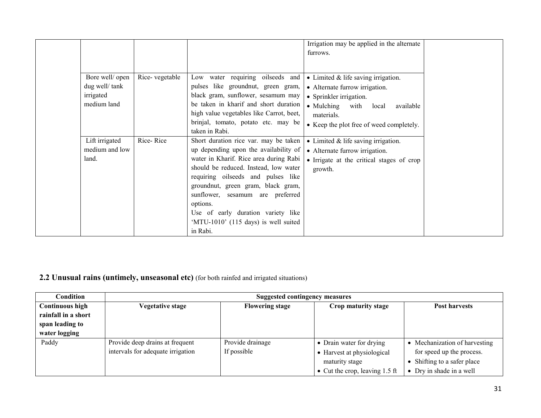|                                                              |                |                                                                                                                                                                                                                                                                                                                                                                                         | Irrigation may be applied in the alternate<br>furrows.                                                                                                                                                           |
|--------------------------------------------------------------|----------------|-----------------------------------------------------------------------------------------------------------------------------------------------------------------------------------------------------------------------------------------------------------------------------------------------------------------------------------------------------------------------------------------|------------------------------------------------------------------------------------------------------------------------------------------------------------------------------------------------------------------|
| Bore well/ open<br>dug well/tank<br>irrigated<br>medium land | Rice-vegetable | Low water requiring oilseeds and<br>pulses like groundnut, green gram,<br>black gram, sunflower, sesamum may<br>be taken in kharif and short duration<br>high value vegetables like Carrot, beet,<br>brinjal, tomato, potato etc. may be<br>taken in Rabi.                                                                                                                              | • Limited $&$ life saving irrigation.<br>• Alternate furrow irrigation.<br>• Sprinkler irrigation.<br>$\bullet$ Mulching<br>with<br>local<br>available<br>materials.<br>• Keep the plot free of weed completely. |
| Lift irrigated<br>medium and low<br>land.                    | Rice-Rice      | Short duration rice var. may be taken<br>up depending upon the availability of<br>water in Kharif. Rice area during Rabi<br>should be reduced. Instead, low water<br>requiring oilseeds and pulses like<br>groundnut, green gram, black gram,<br>sunflower, sesamum are preferred<br>options.<br>Use of early duration variety like<br>'MTU-1010' (115 days) is well suited<br>in Rabi. | $\bullet$ Limited & life saving irrigation.<br>• Alternate furrow irrigation.<br>• Irrigate at the critical stages of crop<br>growth.                                                                            |

### **2.2 Unusual rains (untimely, unseasonal etc)** (for both rainfed and irrigated situations)

| Condition              | <b>Suggested contingency measures</b> |                        |                                  |                               |  |  |  |
|------------------------|---------------------------------------|------------------------|----------------------------------|-------------------------------|--|--|--|
| <b>Continuous high</b> | <b>Vegetative stage</b>               | <b>Flowering stage</b> | Crop maturity stage              | <b>Post harvests</b>          |  |  |  |
| rainfall in a short    |                                       |                        |                                  |                               |  |  |  |
| span leading to        |                                       |                        |                                  |                               |  |  |  |
| water logging          |                                       |                        |                                  |                               |  |  |  |
| Paddy                  | Provide deep drains at frequent       | Provide drainage       | • Drain water for drying         | • Mechanization of harvesting |  |  |  |
|                        | intervals for adequate irrigation     | If possible            | • Harvest at physiological       | for speed up the process.     |  |  |  |
|                        |                                       |                        | maturity stage                   | • Shifting to a safer place   |  |  |  |
|                        |                                       |                        | • Cut the crop, leaving $1.5$ ft | • Dry in shade in a well      |  |  |  |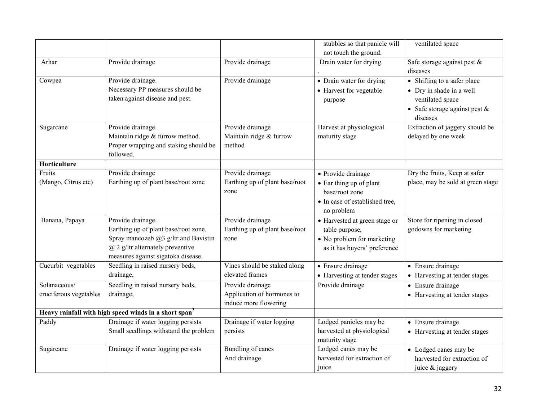|                                                                   |                                           |                                | stubbles so that panicle will   | ventilated space                  |
|-------------------------------------------------------------------|-------------------------------------------|--------------------------------|---------------------------------|-----------------------------------|
|                                                                   |                                           |                                | not touch the ground.           |                                   |
| Arhar                                                             | Provide drainage                          | Provide drainage               | Drain water for drying.         | Safe storage against pest &       |
|                                                                   |                                           |                                |                                 | diseases                          |
| Cowpea                                                            | Provide drainage.                         | Provide drainage               | • Drain water for drying        | • Shifting to a safer place       |
|                                                                   | Necessary PP measures should be           |                                | • Harvest for vegetable         | • Dry in shade in a well          |
|                                                                   | taken against disease and pest.           |                                | purpose                         | ventilated space                  |
|                                                                   |                                           |                                |                                 | • Safe storage against pest $\&$  |
|                                                                   |                                           |                                |                                 | diseases                          |
| Sugarcane                                                         | Provide drainage.                         | Provide drainage               | Harvest at physiological        | Extraction of jaggery should be   |
|                                                                   | Maintain ridge & furrow method.           | Maintain ridge & furrow        | maturity stage                  | delayed by one week               |
|                                                                   | Proper wrapping and staking should be     | method                         |                                 |                                   |
|                                                                   | followed.                                 |                                |                                 |                                   |
| Horticulture                                                      |                                           |                                |                                 |                                   |
| Fruits                                                            | Provide drainage                          | Provide drainage               | • Provide drainage              | Dry the fruits, Keep at safer     |
| (Mango, Citrus etc)                                               | Earthing up of plant base/root zone       | Earthing up of plant base/root | $\bullet$ Ear thing up of plant | place, may be sold at green stage |
|                                                                   |                                           | zone                           | base/root zone                  |                                   |
|                                                                   |                                           |                                | • In case of established tree,  |                                   |
|                                                                   |                                           |                                | no problem                      |                                   |
| Banana, Papaya                                                    | Provide drainage.                         | Provide drainage               | • Harvested at green stage or   | Store for ripening in closed      |
|                                                                   | Earthing up of plant base/root zone.      | Earthing up of plant base/root | table purpose,                  | godowns for marketing             |
|                                                                   | Spray mancozeb $(a)$ 3 g/ltr and Bavistin | zone                           | • No problem for marketing      |                                   |
|                                                                   | $(a)$ 2 g/ltr alternately preventive      |                                | as it has buyers' preference    |                                   |
|                                                                   | measures against sigatoka disease.        |                                |                                 |                                   |
| Cucurbit vegetables                                               | Seedling in raised nursery beds,          | Vines should be staked along   | • Ensure drainage               | • Ensure drainage                 |
|                                                                   | drainage,                                 | elevated frames                | • Harvesting at tender stages   | • Harvesting at tender stages     |
| Solanaceous/                                                      | Seedling in raised nursery beds,          | Provide drainage               | Provide drainage                | • Ensure drainage                 |
| cruciferous vegetables                                            | drainage,                                 | Application of hormones to     |                                 | • Harvesting at tender stages     |
|                                                                   |                                           | induce more flowering          |                                 |                                   |
| Heavy rainfall with high speed winds in a short span <sup>2</sup> |                                           |                                |                                 |                                   |
| Paddy                                                             | Drainage if water logging persists        | Drainage if water logging      | Lodged panicles may be          | • Ensure drainage                 |
|                                                                   | Small seedlings withstand the problem     | persists                       | harvested at physiological      | • Harvesting at tender stages     |
|                                                                   |                                           |                                | maturity stage                  |                                   |
| Sugarcane                                                         | Drainage if water logging persists        | <b>Bundling of canes</b>       | Lodged canes may be             | • Lodged canes may be             |
|                                                                   |                                           | And drainage                   | harvested for extraction of     | harvested for extraction of       |
|                                                                   |                                           |                                | juice                           | juice & jaggery                   |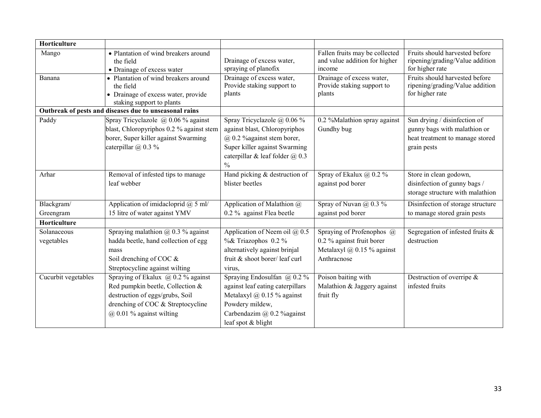| Horticulture              |                                                                                                                                                                                    |                                                                                                                                                                                        |                                                                                                            |                                                                                                                |
|---------------------------|------------------------------------------------------------------------------------------------------------------------------------------------------------------------------------|----------------------------------------------------------------------------------------------------------------------------------------------------------------------------------------|------------------------------------------------------------------------------------------------------------|----------------------------------------------------------------------------------------------------------------|
| Mango                     | • Plantation of wind breakers around<br>the field<br>• Drainage of excess water                                                                                                    | Drainage of excess water,<br>spraying of planofix                                                                                                                                      | Fallen fruits may be collected<br>and value addition for higher<br>income                                  | Fruits should harvested before<br>ripening/grading/Value addition<br>for higher rate                           |
| Banana                    | • Plantation of wind breakers around<br>the field<br>• Drainage of excess water, provide<br>staking support to plants                                                              | Drainage of excess water,<br>Provide staking support to<br>plants                                                                                                                      | Drainage of excess water,<br>Provide staking support to<br>plants                                          | Fruits should harvested before<br>ripening/grading/Value addition<br>for higher rate                           |
|                           | Outbreak of pests and diseases due to unseasonal rains                                                                                                                             |                                                                                                                                                                                        |                                                                                                            |                                                                                                                |
| Paddy                     | Spray Tricyclazole $\omega$ 0.06 % against<br>blast, Chloropyriphos 0.2 % against stem<br>borer, Super killer against Swarming<br>caterpillar $(a)$ 0.3 %                          | Spray Tricyclazole @ 0.06 %<br>against blast, Chloropyriphos<br>$(a)$ 0.2 % against stem borer,<br>Super killer against Swarming<br>caterpillar & leaf folder $@$ 0.3<br>$\frac{0}{0}$ | 0.2 %Malathion spray against<br>Gundhy bug                                                                 | Sun drying / disinfection of<br>gunny bags with malathion or<br>heat treatment to manage stored<br>grain pests |
| Arhar                     | Removal of infested tips to manage<br>leaf webber                                                                                                                                  | Hand picking & destruction of<br>blister beetles                                                                                                                                       | Spray of Ekalux @ 0.2 %<br>against pod borer                                                               | Store in clean godown,<br>disinfection of gunny bags /<br>storage structure with malathion                     |
| Blackgram/                | Application of imidacloprid $(a)$ 5 ml/                                                                                                                                            | Application of Malathion @                                                                                                                                                             | Spray of Nuvan $\omega$ 0.3%                                                                               | Disinfection of storage structure                                                                              |
| Greengram                 | 15 litre of water against YMV                                                                                                                                                      | 0.2 % against Flea beetle                                                                                                                                                              | against pod borer                                                                                          | to manage stored grain pests                                                                                   |
| Horticulture              |                                                                                                                                                                                    |                                                                                                                                                                                        |                                                                                                            |                                                                                                                |
| Solanaceous<br>vegetables | Spraying malathion $@$ 0.3 % against<br>hadda beetle, hand collection of egg<br>mass<br>Soil drenching of COC &<br>Streptocycline against wilting                                  | Application of Neem oil @ 0.5<br>%& Triazophos 0.2 %<br>alternatively against brinjal<br>fruit & shoot borer/leaf curl<br>virus,                                                       | Spraying of Profenophos @<br>0.2 % against fruit borer<br>Metalaxyl $\omega$ 0.15 % against<br>Anthracnose | Segregation of infested fruits &<br>destruction                                                                |
| Cucurbit vegetables       | Spraying of Ekalux $(a)$ 0.2 % against<br>Red pumpkin beetle, Collection &<br>destruction of eggs/grubs, Soil<br>drenching of COC & Streptocycline<br>$(a)$ 0.01 % against wilting | Spraying Endosulfan @ 0.2 %<br>against leaf eating caterpillars<br>Metalaxyl $\omega$ 0.15 % against<br>Powdery mildew,<br>Carbendazim @ 0.2 % against<br>leaf spot & blight           | Poison baiting with<br>Malathion & Jaggery against<br>fruit fly                                            | Destruction of overripe $\&$<br>infested fruits                                                                |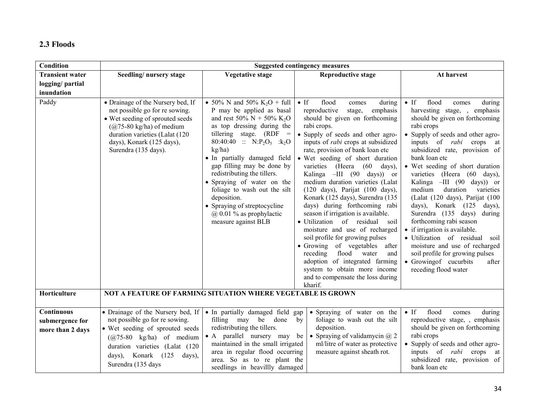# 2.3 Floods

| Condition              | <b>Suggested contingency measures</b>                                                                                                                                                                                               |                                                                                                                                                                                                                                                                                                                                                                                                                                                                                           |                                                                                                                                                                                                                                                                                                                                                                                                                                                                                                                                                                                                                                                                                                                                                                                                                                                             |                                                                                                                                                                                                                                                                                                                                                                                                                                                                                                                                                                                                                                                                                                                         |  |  |
|------------------------|-------------------------------------------------------------------------------------------------------------------------------------------------------------------------------------------------------------------------------------|-------------------------------------------------------------------------------------------------------------------------------------------------------------------------------------------------------------------------------------------------------------------------------------------------------------------------------------------------------------------------------------------------------------------------------------------------------------------------------------------|-------------------------------------------------------------------------------------------------------------------------------------------------------------------------------------------------------------------------------------------------------------------------------------------------------------------------------------------------------------------------------------------------------------------------------------------------------------------------------------------------------------------------------------------------------------------------------------------------------------------------------------------------------------------------------------------------------------------------------------------------------------------------------------------------------------------------------------------------------------|-------------------------------------------------------------------------------------------------------------------------------------------------------------------------------------------------------------------------------------------------------------------------------------------------------------------------------------------------------------------------------------------------------------------------------------------------------------------------------------------------------------------------------------------------------------------------------------------------------------------------------------------------------------------------------------------------------------------------|--|--|
| <b>Transient water</b> | Seedling/nursery stage                                                                                                                                                                                                              | <b>Vegetative stage</b>                                                                                                                                                                                                                                                                                                                                                                                                                                                                   | <b>Reproductive stage</b>                                                                                                                                                                                                                                                                                                                                                                                                                                                                                                                                                                                                                                                                                                                                                                                                                                   | At harvest                                                                                                                                                                                                                                                                                                                                                                                                                                                                                                                                                                                                                                                                                                              |  |  |
| logging/partial        |                                                                                                                                                                                                                                     |                                                                                                                                                                                                                                                                                                                                                                                                                                                                                           |                                                                                                                                                                                                                                                                                                                                                                                                                                                                                                                                                                                                                                                                                                                                                                                                                                                             |                                                                                                                                                                                                                                                                                                                                                                                                                                                                                                                                                                                                                                                                                                                         |  |  |
| inundation             |                                                                                                                                                                                                                                     |                                                                                                                                                                                                                                                                                                                                                                                                                                                                                           |                                                                                                                                                                                                                                                                                                                                                                                                                                                                                                                                                                                                                                                                                                                                                                                                                                                             |                                                                                                                                                                                                                                                                                                                                                                                                                                                                                                                                                                                                                                                                                                                         |  |  |
| Paddy                  | • Drainage of the Nursery bed, If<br>not possible go for re sowing.<br>• Wet seeding of sprouted seeds<br>$(Q75-80 \text{ kg/ha})$ of medium<br>duration varieties (Lalat (120<br>days), Konark (125 days),<br>Surendra (135 days). | • 50% N and 50% K <sub>2</sub> O + full<br>P may be applied as basal<br>and rest 50% N + 50% K <sub>2</sub> O<br>as top dressing during the<br>tillering stage. $(RDF =$<br>80:40:40 :: $N:P_2O_5$ : $k_2O$<br>kg/ha)<br>• In partially damaged field<br>gap filling may be done by<br>redistributing the tillers.<br>• Spraying of water on the<br>foliage to wash out the silt<br>deposition.<br>• Spraying of streptocycline<br>$\omega$ 0.01 % as prophylactic<br>measure against BLB | $\bullet$ If<br>flood<br>during<br>comes<br>reproductive<br>emphasis<br>stage,<br>should be given on forthcoming<br>rabi crops.<br>• Supply of seeds and other agro-<br>inputs of <i>rabi</i> crops at subsidized<br>rate, provision of bank loan etc<br>• Wet seeding of short duration<br>varieties (Heera (60 days),<br>Kalinga -III (90 days)) or<br>medium duration varieties (Lalat<br>$(120 \text{ days})$ , Parijat $(100 \text{ days})$ ,<br>Konark (125 days), Surendra (135<br>days) during forthcoming rabi<br>season if irrigation is available.<br>· Utilization of residual soil<br>moisture and use of recharged<br>soil profile for growing pulses<br>• Growing of vegetables<br>after<br>flood water<br>receding<br>and<br>adoption of integrated farming<br>system to obtain more income<br>and to compensate the loss during<br>kharif. | flood<br>$\bullet$ If<br>during<br>comes<br>harvesting stage,<br>emphasis<br>should be given on forthcoming<br>rabi crops<br>• Supply of seeds and other agro-<br>inputs of <i>rabi</i> crops at<br>subsidized rate, provision of<br>bank loan etc<br>• Wet seeding of short duration<br>varieties (Heera (60 days),<br>Kalinga $-HI$ (90 days)) or<br>medium<br>duration<br>varieties<br>(Lalat (120 days), Parijat (100<br>days), Konark (125 days),<br>Surendra (135 days)<br>during<br>forthcoming rabi season<br>• if irrigation is available.<br>· Utilization of residual<br>soil<br>moisture and use of recharged<br>soil profile for growing pulses<br>• Growing of cucurbits<br>after<br>receding flood water |  |  |
| Horticulture           | NOT A FEATURE OF FARMING SITUATION WHERE VEGETABLE IS GROWN                                                                                                                                                                         |                                                                                                                                                                                                                                                                                                                                                                                                                                                                                           |                                                                                                                                                                                                                                                                                                                                                                                                                                                                                                                                                                                                                                                                                                                                                                                                                                                             |                                                                                                                                                                                                                                                                                                                                                                                                                                                                                                                                                                                                                                                                                                                         |  |  |
|                        |                                                                                                                                                                                                                                     |                                                                                                                                                                                                                                                                                                                                                                                                                                                                                           |                                                                                                                                                                                                                                                                                                                                                                                                                                                                                                                                                                                                                                                                                                                                                                                                                                                             |                                                                                                                                                                                                                                                                                                                                                                                                                                                                                                                                                                                                                                                                                                                         |  |  |
| Continuous             | · Drainage of the Nursery bed, If                                                                                                                                                                                                   | · In partially damaged field gap                                                                                                                                                                                                                                                                                                                                                                                                                                                          | • Spraying of water on the                                                                                                                                                                                                                                                                                                                                                                                                                                                                                                                                                                                                                                                                                                                                                                                                                                  | $\bullet$ If<br>flood<br>during<br>comes                                                                                                                                                                                                                                                                                                                                                                                                                                                                                                                                                                                                                                                                                |  |  |
| submergence for        | not possible go for re sowing.<br>• Wet seeding of sprouted seeds                                                                                                                                                                   | filling<br>may be<br>done<br>redistributing the tillers.                                                                                                                                                                                                                                                                                                                                                                                                                                  | foliage to wash out the silt<br>by<br>deposition.                                                                                                                                                                                                                                                                                                                                                                                                                                                                                                                                                                                                                                                                                                                                                                                                           | reproductive stage, , emphasis<br>should be given on forthcoming                                                                                                                                                                                                                                                                                                                                                                                                                                                                                                                                                                                                                                                        |  |  |
| more than 2 days       | $(Q75-80 \text{ kg/ha})$ of medium<br>duration varieties (Lalat (120<br>days), Konark (125<br>days),<br>Surendra (135 days                                                                                                          | • A parallel nursery may<br>maintained in the small irrigated<br>area in regular flood occurring<br>area. So as to re plant the<br>seedlings in heavillly damaged                                                                                                                                                                                                                                                                                                                         | • Spraying of validamycin $\omega$ 2<br>be<br>ml/litre of water as protective<br>measure against sheath rot.                                                                                                                                                                                                                                                                                                                                                                                                                                                                                                                                                                                                                                                                                                                                                | rabi crops<br>• Supply of seeds and other agro-<br>inputs of <i>rabi</i> crops at<br>subsidized rate, provision of<br>bank loan etc                                                                                                                                                                                                                                                                                                                                                                                                                                                                                                                                                                                     |  |  |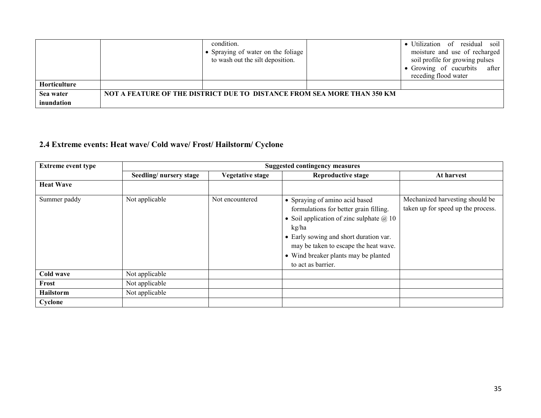|              | condition.<br>Spraying of water on the foliage<br>to wash out the silt deposition. | • Utilization of residual soil<br>moisture and use of recharged<br>soil profile for growing pulses<br>• Growing of cucurbits after<br>receding flood water |
|--------------|------------------------------------------------------------------------------------|------------------------------------------------------------------------------------------------------------------------------------------------------------|
| Horticulture |                                                                                    |                                                                                                                                                            |
| Sea water    | NOT A FEATURE OF THE DISTRICT DUE TO DISTANCE FROM SEA MORE THAN 350 KM            |                                                                                                                                                            |
| inundation   |                                                                                    |                                                                                                                                                            |

### 2.4 Extreme events: Heat wave/ Cold wave/ Frost/ Hailstorm/ Cyclone

| <b>Extreme event type</b> |                        |                  | <b>Suggested contingency measures</b>                                                                                                                                                                                                                                                  |                                                                       |
|---------------------------|------------------------|------------------|----------------------------------------------------------------------------------------------------------------------------------------------------------------------------------------------------------------------------------------------------------------------------------------|-----------------------------------------------------------------------|
|                           | Seedling/nursery stage | Vegetative stage | <b>Reproductive stage</b>                                                                                                                                                                                                                                                              | At harvest                                                            |
| <b>Heat Wave</b>          |                        |                  |                                                                                                                                                                                                                                                                                        |                                                                       |
| Summer paddy              | Not applicable         | Not encountered  | • Spraying of amino acid based<br>formulations for better grain filling.<br>• Soil application of zinc sulphate $\omega(10)$<br>kg/ha<br>• Early sowing and short duration var.<br>may be taken to escape the heat wave.<br>• Wind breaker plants may be planted<br>to act as barrier. | Mechanized harvesting should be<br>taken up for speed up the process. |
| Cold wave                 | Not applicable         |                  |                                                                                                                                                                                                                                                                                        |                                                                       |
| Frost                     | Not applicable         |                  |                                                                                                                                                                                                                                                                                        |                                                                       |
| <b>Hailstorm</b>          | Not applicable         |                  |                                                                                                                                                                                                                                                                                        |                                                                       |
| Cyclone                   |                        |                  |                                                                                                                                                                                                                                                                                        |                                                                       |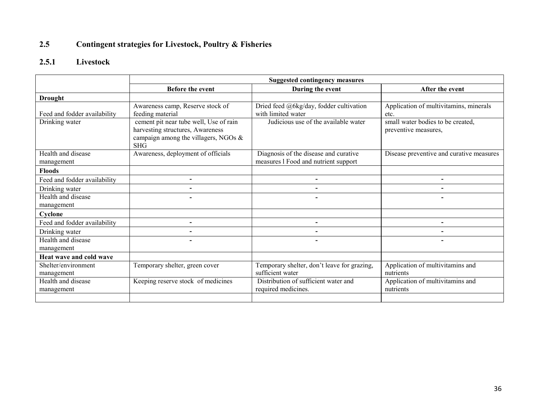#### 2.5Contingent strategies for Livestock, Poultry & Fisheries

# 2.5.1 Livestock

|                                   | <b>Suggested contingency measures</b>                                                                                               |                                                                               |                                                           |  |  |
|-----------------------------------|-------------------------------------------------------------------------------------------------------------------------------------|-------------------------------------------------------------------------------|-----------------------------------------------------------|--|--|
|                                   | Before the event                                                                                                                    | During the event                                                              | After the event                                           |  |  |
| <b>Drought</b>                    |                                                                                                                                     |                                                                               |                                                           |  |  |
| Feed and fodder availability      | Awareness camp, Reserve stock of<br>feeding material                                                                                | Dried feed @6kg/day, fodder cultivation<br>with limited water                 | Application of multivitamins, minerals<br>etc.            |  |  |
| Drinking water                    | cement pit near tube well, Use of rain<br>harvesting structures, Awareness<br>campaign among the villagers, NGOs $\&$<br><b>SHG</b> | Judicious use of the available water                                          | small water bodies to be created,<br>preventive measures, |  |  |
| Health and disease<br>management  | Awareness, deployment of officials                                                                                                  | Diagnosis of the disease and curative<br>measures 1 Food and nutrient support | Disease preventive and curative measures                  |  |  |
| <b>Floods</b>                     |                                                                                                                                     |                                                                               |                                                           |  |  |
| Feed and fodder availability      | $\blacksquare$                                                                                                                      | $\overline{\phantom{0}}$                                                      | Ξ.                                                        |  |  |
| Drinking water                    | $\blacksquare$                                                                                                                      |                                                                               | $\blacksquare$                                            |  |  |
| Health and disease<br>management  | $\overline{\phantom{0}}$                                                                                                            | $\blacksquare$                                                                | $\overline{\phantom{0}}$                                  |  |  |
| Cyclone                           |                                                                                                                                     |                                                                               |                                                           |  |  |
| Feed and fodder availability      | $\overline{\phantom{0}}$                                                                                                            | $\overline{\phantom{0}}$                                                      | $\overline{\phantom{0}}$                                  |  |  |
| Drinking water                    |                                                                                                                                     |                                                                               | $\blacksquare$                                            |  |  |
| Health and disease<br>management  |                                                                                                                                     |                                                                               |                                                           |  |  |
| Heat wave and cold wave           |                                                                                                                                     |                                                                               |                                                           |  |  |
| Shelter/environment<br>management | Temporary shelter, green cover                                                                                                      | Temporary shelter, don't leave for grazing,<br>sufficient water               | Application of multivitamins and<br>nutrients             |  |  |
| Health and disease<br>management  | Keeping reserve stock of medicines                                                                                                  | Distribution of sufficient water and<br>required medicines.                   | Application of multivitamins and<br>nutrients             |  |  |
|                                   |                                                                                                                                     |                                                                               |                                                           |  |  |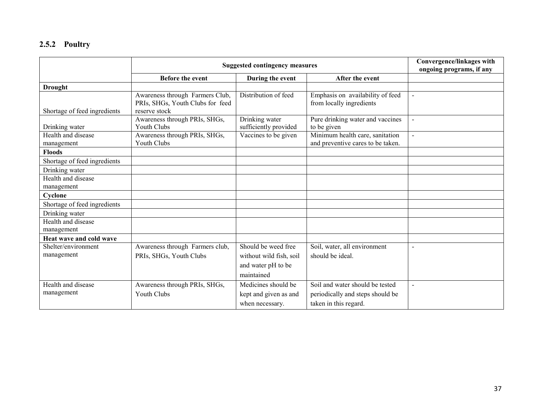# 2.5.2 Poultry

|                                   | <b>Suggested contingency measures</b>                                                |                                                                                    |                                                                                              | Convergence/linkages with<br>ongoing programs, if any |
|-----------------------------------|--------------------------------------------------------------------------------------|------------------------------------------------------------------------------------|----------------------------------------------------------------------------------------------|-------------------------------------------------------|
|                                   | Before the event                                                                     | During the event                                                                   | After the event                                                                              |                                                       |
| <b>Drought</b>                    |                                                                                      |                                                                                    |                                                                                              |                                                       |
| Shortage of feed ingredients      | Awareness through Farmers Club,<br>PRIs, SHGs, Youth Clubs for feed<br>reserve stock | Distribution of feed                                                               | Emphasis on availability of feed<br>from locally ingredients                                 | $\overline{a}$                                        |
| Drinking water                    | Awareness through PRIs, SHGs,<br><b>Youth Clubs</b>                                  | Drinking water<br>sufficiently provided                                            | Pure drinking water and vaccines<br>to be given                                              | $\sim$                                                |
| Health and disease<br>management  | Awareness through PRIs, SHGs,<br><b>Youth Clubs</b>                                  | Vaccines to be given                                                               | Minimum health care, sanitation<br>and preventive cares to be taken.                         | $\overline{a}$                                        |
| <b>Floods</b>                     |                                                                                      |                                                                                    |                                                                                              |                                                       |
| Shortage of feed ingredients      |                                                                                      |                                                                                    |                                                                                              |                                                       |
| Drinking water                    |                                                                                      |                                                                                    |                                                                                              |                                                       |
| Health and disease<br>management  |                                                                                      |                                                                                    |                                                                                              |                                                       |
| Cyclone                           |                                                                                      |                                                                                    |                                                                                              |                                                       |
| Shortage of feed ingredients      |                                                                                      |                                                                                    |                                                                                              |                                                       |
| Drinking water                    |                                                                                      |                                                                                    |                                                                                              |                                                       |
| Health and disease<br>management  |                                                                                      |                                                                                    |                                                                                              |                                                       |
| Heat wave and cold wave           |                                                                                      |                                                                                    |                                                                                              |                                                       |
| Shelter/environment<br>management | Awareness through Farmers club,<br>PRIs, SHGs, Youth Clubs                           | Should be weed free<br>without wild fish, soil<br>and water pH to be<br>maintained | Soil, water, all environment<br>should be ideal.                                             | $\sim$                                                |
| Health and disease<br>management  | Awareness through PRIs, SHGs,<br><b>Youth Clubs</b>                                  | Medicines should be<br>kept and given as and<br>when necessary.                    | Soil and water should be tested<br>periodically and steps should be<br>taken in this regard. |                                                       |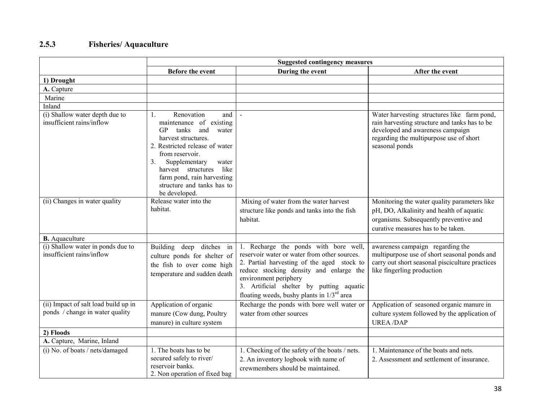## 2.5.3 Fisheries/ Aquaculture

|                                                                         | <b>Suggested contingency measures</b>                                                                                                                                                                                                                                                                               |                                                                                                                                                                                                                                                                                                        |                                                                                                                                                                                               |  |
|-------------------------------------------------------------------------|---------------------------------------------------------------------------------------------------------------------------------------------------------------------------------------------------------------------------------------------------------------------------------------------------------------------|--------------------------------------------------------------------------------------------------------------------------------------------------------------------------------------------------------------------------------------------------------------------------------------------------------|-----------------------------------------------------------------------------------------------------------------------------------------------------------------------------------------------|--|
|                                                                         | Before the event                                                                                                                                                                                                                                                                                                    | During the event                                                                                                                                                                                                                                                                                       | After the event                                                                                                                                                                               |  |
| 1) Drought                                                              |                                                                                                                                                                                                                                                                                                                     |                                                                                                                                                                                                                                                                                                        |                                                                                                                                                                                               |  |
| A. Capture                                                              |                                                                                                                                                                                                                                                                                                                     |                                                                                                                                                                                                                                                                                                        |                                                                                                                                                                                               |  |
| Marine                                                                  |                                                                                                                                                                                                                                                                                                                     |                                                                                                                                                                                                                                                                                                        |                                                                                                                                                                                               |  |
| Inland                                                                  |                                                                                                                                                                                                                                                                                                                     |                                                                                                                                                                                                                                                                                                        |                                                                                                                                                                                               |  |
| (i) Shallow water depth due to<br>insufficient rains/inflow             | Renovation<br>and  <br>$\mathbf{1}$ .<br>maintenance of existing<br>GP<br>tanks<br>and<br>water<br>harvest structures.<br>2. Restricted release of water<br>from reservoir.<br>Supplementary<br>3.<br>water<br>harvest structures like<br>farm pond, rain harvesting<br>structure and tanks has to<br>be developed. | $\blacksquare$                                                                                                                                                                                                                                                                                         | Water harvesting structures like farm pond,<br>rain harvesting structure and tanks has to be<br>developed and awareness campaign<br>regarding the multipurpose use of short<br>seasonal ponds |  |
| (ii) Changes in water quality                                           | Release water into the<br>habitat.                                                                                                                                                                                                                                                                                  | Mixing of water from the water harvest<br>structure like ponds and tanks into the fish<br>habitat.                                                                                                                                                                                                     | Monitoring the water quality parameters like<br>pH, DO, Alkalinity and health of aquatic<br>organisms. Subsequently preventive and<br>curative measures has to be taken.                      |  |
| <b>B.</b> Aquaculture                                                   |                                                                                                                                                                                                                                                                                                                     |                                                                                                                                                                                                                                                                                                        |                                                                                                                                                                                               |  |
| (i) Shallow water in ponds due to<br>insufficient rains/inflow          | <b>Building</b><br>ditches in<br>deep<br>culture ponds for shelter of<br>the fish to over come high<br>temperature and sudden death                                                                                                                                                                                 | 1. Recharge the ponds with bore well,<br>reservoir water or water from other sources.<br>2. Partial harvesting of the aged stock to<br>reduce stocking density and enlarge the<br>environment periphery<br>3. Artificial shelter by putting aquatic<br>floating weeds, bushy plants in $1/3^{rd}$ area | awareness campaign regarding the<br>multipurpose use of short seasonal ponds and<br>carry out short seasonal pisciculture practices<br>like fingerling production                             |  |
| (ii) Impact of salt load build up in<br>ponds / change in water quality | Application of organic<br>manure (Cow dung, Poultry<br>manure) in culture system                                                                                                                                                                                                                                    | Recharge the ponds with bore well water or<br>water from other sources                                                                                                                                                                                                                                 | Application of seasoned organic manure in<br>culture system followed by the application of<br><b>UREA/DAP</b>                                                                                 |  |
| 2) Floods                                                               |                                                                                                                                                                                                                                                                                                                     |                                                                                                                                                                                                                                                                                                        |                                                                                                                                                                                               |  |
| A. Capture, Marine, Inland                                              |                                                                                                                                                                                                                                                                                                                     |                                                                                                                                                                                                                                                                                                        |                                                                                                                                                                                               |  |
| (i) No. of boats / nets/damaged                                         | 1. The boats has to be<br>secured safely to river/<br>reservoir banks.<br>2. Non operation of fixed bag                                                                                                                                                                                                             | 1. Checking of the safety of the boats / nets.<br>2. An inventory logbook with name of<br>crewmembers should be maintained.                                                                                                                                                                            | 1. Maintenance of the boats and nets.<br>2. Assessment and settlement of insurance.                                                                                                           |  |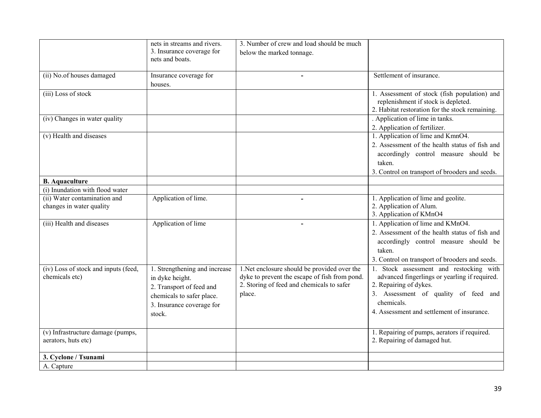|                                                | nets in streams and rivers.   | 3. Number of crew and load should be much     |                                                 |
|------------------------------------------------|-------------------------------|-----------------------------------------------|-------------------------------------------------|
|                                                | 3. Insurance coverage for     | below the marked tonnage.                     |                                                 |
|                                                | nets and boats.               |                                               |                                                 |
|                                                |                               |                                               |                                                 |
| (ii) No.of houses damaged                      | Insurance coverage for        | $\blacksquare$                                | Settlement of insurance.                        |
|                                                | houses.                       |                                               |                                                 |
| (iii) Loss of stock                            |                               |                                               | 1. Assessment of stock (fish population) and    |
|                                                |                               |                                               | replenishment if stock is depleted.             |
|                                                |                               |                                               | 2. Habitat restoration for the stock remaining. |
| (iv) Changes in water quality                  |                               |                                               | . Application of lime in tanks.                 |
|                                                |                               |                                               | 2. Application of fertilizer.                   |
| (v) Health and diseases                        |                               |                                               | 1. Application of lime and KmnO4.               |
|                                                |                               |                                               | 2. Assessment of the health status of fish and  |
|                                                |                               |                                               | accordingly control measure should be           |
|                                                |                               |                                               | taken.                                          |
|                                                |                               |                                               | 3. Control on transport of brooders and seeds.  |
| <b>B.</b> Aquaculture                          |                               |                                               |                                                 |
| (i) Inundation with flood water                |                               |                                               |                                                 |
| (ii) Water contamination and                   | Application of lime.          |                                               | 1. Application of lime and geolite.             |
| changes in water quality                       |                               |                                               | 2. Application of Alum.                         |
|                                                |                               |                                               | 3. Application of KMnO4                         |
| (iii) Health and diseases                      | Application of lime           |                                               | 1. Application of lime and KMnO4.               |
|                                                |                               |                                               | 2. Assessment of the health status of fish and  |
|                                                |                               |                                               | accordingly control measure should be           |
|                                                |                               |                                               | taken.                                          |
|                                                |                               |                                               | 3. Control on transport of brooders and seeds.  |
| (iv) Loss of stock and inputs (feed,           | 1. Strengthening and increase | 1. Net enclosure should be provided over the  | 1. Stock assessment and restocking with         |
| chemicals etc)                                 | in dyke height.               | dyke to prevent the escape of fish from pond. | advanced fingerlings or yearling if required.   |
|                                                |                               | 2. Storing of feed and chemicals to safer     | 2. Repairing of dykes.                          |
|                                                | 2. Transport of feed and      | place.                                        | 3. Assessment of quality of feed and            |
|                                                | chemicals to safer place.     |                                               | chemicals.                                      |
|                                                | 3. Insurance coverage for     |                                               | 4. Assessment and settlement of insurance.      |
|                                                | stock.                        |                                               |                                                 |
|                                                |                               |                                               |                                                 |
| $\overline{(v)}$ Infrastructure damage (pumps, |                               |                                               | 1. Repairing of pumps, aerators if required.    |
| aerators, huts etc)                            |                               |                                               | 2. Repairing of damaged hut.                    |
|                                                |                               |                                               |                                                 |
| 3. Cyclone / Tsunami                           |                               |                                               |                                                 |
| A. Capture                                     |                               |                                               |                                                 |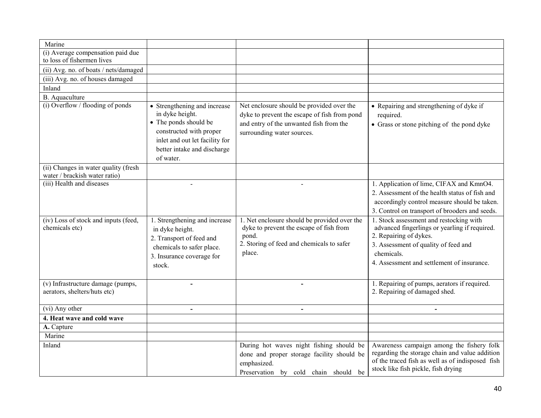| Marine                                                                |                                                                                                           |                                                                                                                                               |                                                                                                                                                            |
|-----------------------------------------------------------------------|-----------------------------------------------------------------------------------------------------------|-----------------------------------------------------------------------------------------------------------------------------------------------|------------------------------------------------------------------------------------------------------------------------------------------------------------|
|                                                                       |                                                                                                           |                                                                                                                                               |                                                                                                                                                            |
| (i) Average compensation paid due<br>to loss of fishermen lives       |                                                                                                           |                                                                                                                                               |                                                                                                                                                            |
|                                                                       |                                                                                                           |                                                                                                                                               |                                                                                                                                                            |
| (ii) Avg. no. of boats / nets/damaged                                 |                                                                                                           |                                                                                                                                               |                                                                                                                                                            |
| (iii) Avg. no. of houses damaged                                      |                                                                                                           |                                                                                                                                               |                                                                                                                                                            |
| Inland                                                                |                                                                                                           |                                                                                                                                               |                                                                                                                                                            |
| B. Aquaculture                                                        |                                                                                                           |                                                                                                                                               |                                                                                                                                                            |
| (i) Overflow / flooding of ponds                                      | • Strengthening and increase<br>in dyke height.<br>• The ponds should be                                  | Net enclosure should be provided over the<br>dyke to prevent the escape of fish from pond<br>and entry of the unwanted fish from the          | • Repairing and strengthening of dyke if<br>required.<br>• Grass or stone pitching of the pond dyke                                                        |
|                                                                       | constructed with proper<br>inlet and out let facility for<br>better intake and discharge                  | surrounding water sources.                                                                                                                    |                                                                                                                                                            |
|                                                                       | of water.                                                                                                 |                                                                                                                                               |                                                                                                                                                            |
| (ii) Changes in water quality (fresh<br>water / brackish water ratio) |                                                                                                           |                                                                                                                                               |                                                                                                                                                            |
| (iii) Health and diseases                                             | $\sim$                                                                                                    | $\blacksquare$                                                                                                                                | 1. Application of lime, CIFAX and KmnO4.<br>2. Assessment of the health status of fish and<br>accordingly control measure should be taken.                 |
|                                                                       |                                                                                                           |                                                                                                                                               | 3. Control on transport of brooders and seeds.                                                                                                             |
| (iv) Loss of stock and inputs (feed,<br>chemicals etc)                | 1. Strengthening and increase<br>in dyke height.<br>2. Transport of feed and<br>chemicals to safer place. | 1. Net enclosure should be provided over the<br>dyke to prevent the escape of fish from<br>pond.<br>2. Storing of feed and chemicals to safer | 1. Stock assessment and restocking with<br>advanced fingerlings or yearling if required.<br>2. Repairing of dykes.<br>3. Assessment of quality of feed and |
|                                                                       | 3. Insurance coverage for                                                                                 | place.                                                                                                                                        | chemicals.                                                                                                                                                 |
|                                                                       | stock.                                                                                                    |                                                                                                                                               | 4. Assessment and settlement of insurance.                                                                                                                 |
| (v) Infrastructure damage (pumps,<br>aerators, shelters/huts etc)     | $\overline{\phantom{a}}$                                                                                  | $\overline{\phantom{a}}$                                                                                                                      | 1. Repairing of pumps, aerators if required.<br>2. Repairing of damaged shed.                                                                              |
| (vi) Any other                                                        | $\overline{\phantom{a}}$                                                                                  | $\blacksquare$                                                                                                                                |                                                                                                                                                            |
| 4. Heat wave and cold wave                                            |                                                                                                           |                                                                                                                                               |                                                                                                                                                            |
| A. Capture                                                            |                                                                                                           |                                                                                                                                               |                                                                                                                                                            |
| Marine                                                                |                                                                                                           |                                                                                                                                               |                                                                                                                                                            |
| Inland                                                                |                                                                                                           | During hot waves night fishing should be                                                                                                      | Awareness campaign among the fishery folk                                                                                                                  |
|                                                                       |                                                                                                           | done and proper storage facility should be<br>emphasized.                                                                                     | regarding the storage chain and value addition<br>of the traced fish as well as of indisposed fish<br>stock like fish pickle, fish drying                  |
|                                                                       |                                                                                                           | Preservation by cold chain should be                                                                                                          |                                                                                                                                                            |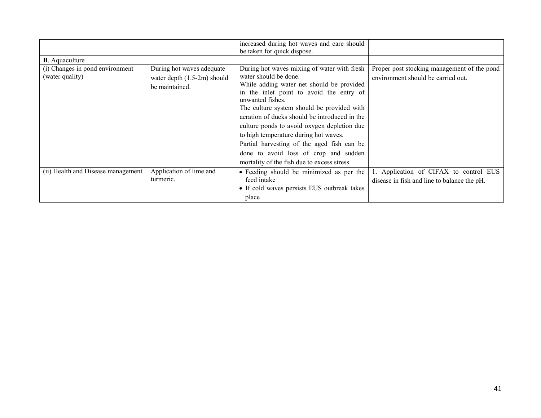|                                    |                               | increased during hot waves and care should<br>be taken for quick dispose. |                                             |
|------------------------------------|-------------------------------|---------------------------------------------------------------------------|---------------------------------------------|
| <b>B</b> . Aquaculture             |                               |                                                                           |                                             |
| (i) Changes in pond environment    | During hot waves adequate     | During hot waves mixing of water with fresh                               | Proper post stocking management of the pond |
| (water quality)                    | water depth $(1.5-2m)$ should | water should be done.                                                     | environment should be carried out.          |
|                                    | be maintained.                | While adding water net should be provided                                 |                                             |
|                                    |                               | in the inlet point to avoid the entry of                                  |                                             |
|                                    |                               | unwanted fishes.                                                          |                                             |
|                                    |                               | The culture system should be provided with                                |                                             |
|                                    |                               | aeration of ducks should be introduced in the                             |                                             |
|                                    |                               | culture ponds to avoid oxygen depletion due                               |                                             |
|                                    |                               | to high temperature during hot waves.                                     |                                             |
|                                    |                               | Partial harvesting of the aged fish can be                                |                                             |
|                                    |                               | done to avoid loss of crop and sudden                                     |                                             |
|                                    |                               | mortality of the fish due to excess stress                                |                                             |
| (ii) Health and Disease management | Application of lime and       | • Feeding should be minimized as per the                                  | 1. Application of CIFAX to control EUS      |
|                                    | turmeric.                     | feed intake                                                               | disease in fish and line to balance the pH. |
|                                    |                               | • If cold waves persists EUS outbreak takes                               |                                             |
|                                    |                               | place                                                                     |                                             |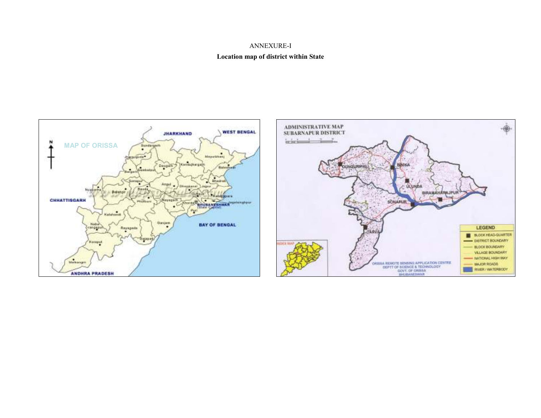### ANNEXURE-I

#### Location map of district within State



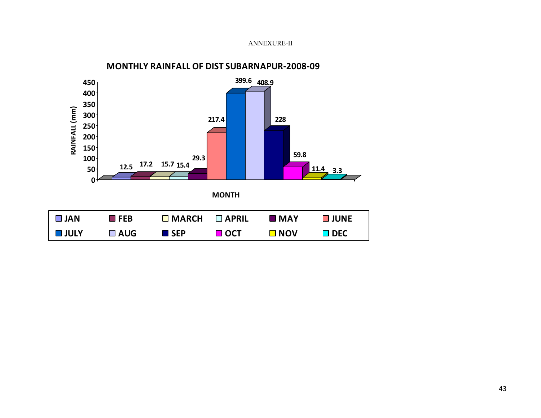### ANNEXURE-II



### MONTHLY RAINFALL OF DIST SUBARNAPUR-2008-09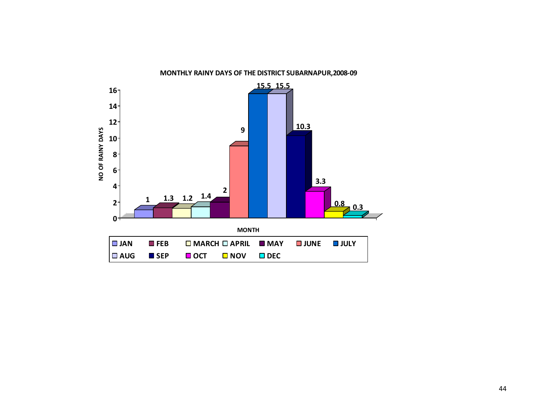

### MONTHLY RAINY DAYS OF THE DISTRICT SUBARNAPUR,2008-09